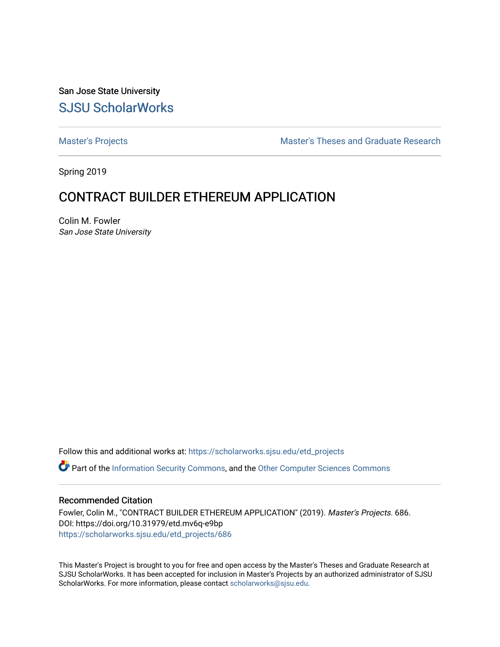San Jose State University [SJSU ScholarWorks](https://scholarworks.sjsu.edu/) 

[Master's Projects](https://scholarworks.sjsu.edu/etd_projects) [Master's Theses and Graduate Research](https://scholarworks.sjsu.edu/etd) 

Spring 2019

## CONTRACT BUILDER ETHEREUM APPLICATION

Colin M. Fowler San Jose State University

Follow this and additional works at: [https://scholarworks.sjsu.edu/etd\\_projects](https://scholarworks.sjsu.edu/etd_projects?utm_source=scholarworks.sjsu.edu%2Fetd_projects%2F686&utm_medium=PDF&utm_campaign=PDFCoverPages) 

**P** Part of the [Information Security Commons](http://network.bepress.com/hgg/discipline/1247?utm_source=scholarworks.sjsu.edu%2Fetd_projects%2F686&utm_medium=PDF&utm_campaign=PDFCoverPages), and the [Other Computer Sciences Commons](http://network.bepress.com/hgg/discipline/152?utm_source=scholarworks.sjsu.edu%2Fetd_projects%2F686&utm_medium=PDF&utm_campaign=PDFCoverPages)

## Recommended Citation

Fowler, Colin M., "CONTRACT BUILDER ETHEREUM APPLICATION" (2019). Master's Projects. 686. DOI: https://doi.org/10.31979/etd.mv6q-e9bp [https://scholarworks.sjsu.edu/etd\\_projects/686](https://scholarworks.sjsu.edu/etd_projects/686?utm_source=scholarworks.sjsu.edu%2Fetd_projects%2F686&utm_medium=PDF&utm_campaign=PDFCoverPages) 

This Master's Project is brought to you for free and open access by the Master's Theses and Graduate Research at SJSU ScholarWorks. It has been accepted for inclusion in Master's Projects by an authorized administrator of SJSU ScholarWorks. For more information, please contact [scholarworks@sjsu.edu](mailto:scholarworks@sjsu.edu).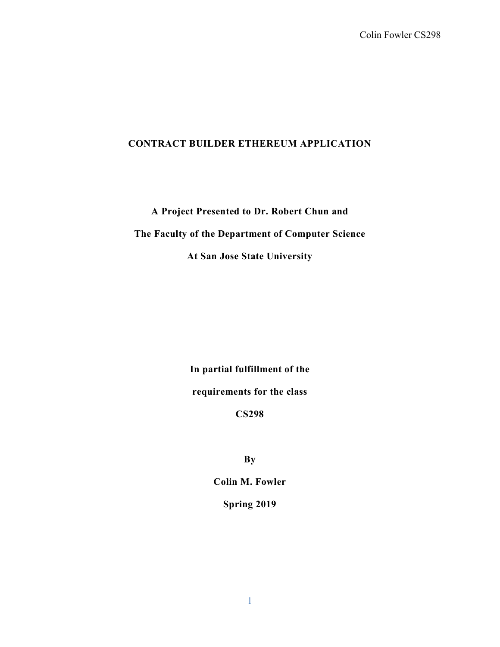## **CONTRACT BUILDER ETHEREUM APPLICATION**

**A Project Presented to Dr. Robert Chun and**

**The Faculty of the Department of Computer Science**

**At San Jose State University**

**In partial fulfillment of the**

**requirements for the class**

**CS298**

**By**

**Colin M. Fowler**

**Spring 2019**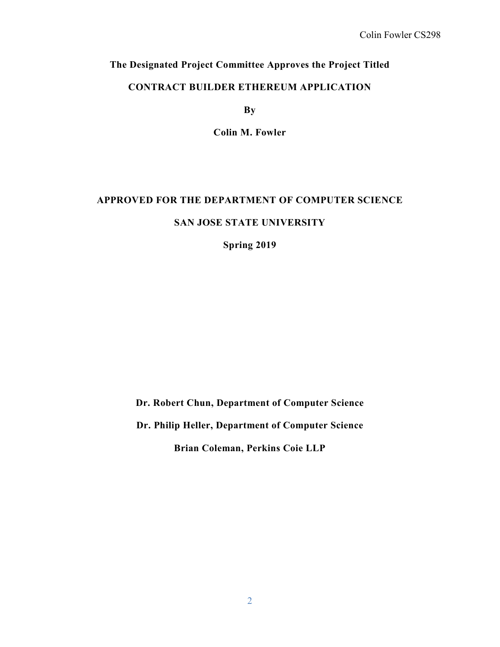## **The Designated Project Committee Approves the Project Titled**

## **CONTRACT BUILDER ETHEREUM APPLICATION**

**By**

**Colin M. Fowler**

## **APPROVED FOR THE DEPARTMENT OF COMPUTER SCIENCE SAN JOSE STATE UNIVERSITY**

**Spring 2019**

**Dr. Robert Chun, Department of Computer Science**

**Dr. Philip Heller, Department of Computer Science**

**Brian Coleman, Perkins Coie LLP**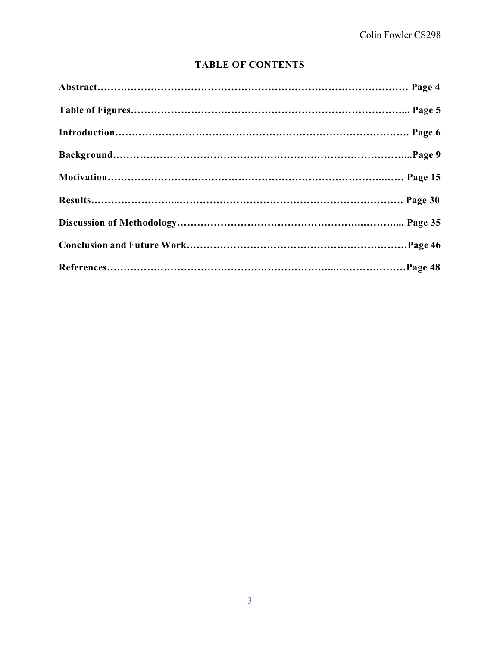## **TABLE OF CONTENTS**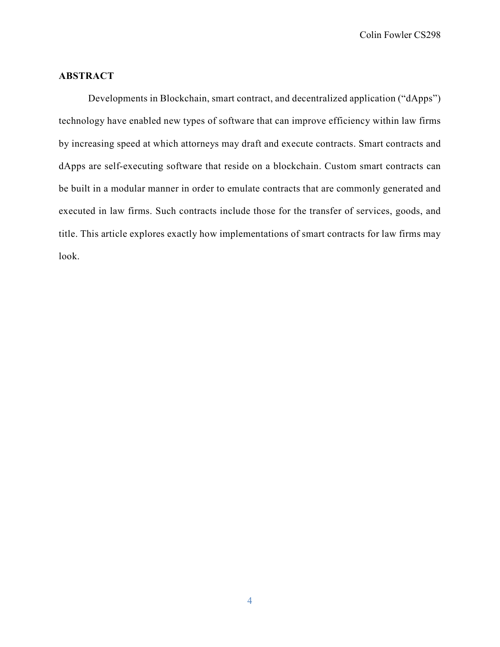Colin Fowler CS298

## **ABSTRACT**

Developments in Blockchain, smart contract, and decentralized application ("dApps") technology have enabled new types of software that can improve efficiency within law firms by increasing speed at which attorneys may draft and execute contracts. Smart contracts and dApps are self-executing software that reside on a blockchain. Custom smart contracts can be built in a modular manner in order to emulate contracts that are commonly generated and executed in law firms. Such contracts include those for the transfer of services, goods, and title. This article explores exactly how implementations of smart contracts for law firms may look.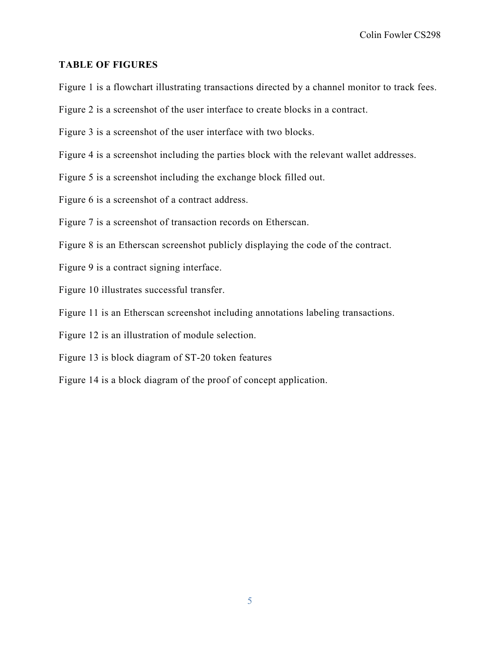## **TABLE OF FIGURES**

Figure 1 is a flowchart illustrating transactions directed by a channel monitor to track fees.

Figure 2 is a screenshot of the user interface to create blocks in a contract.

Figure 3 is a screenshot of the user interface with two blocks.

Figure 4 is a screenshot including the parties block with the relevant wallet addresses.

Figure 5 is a screenshot including the exchange block filled out.

Figure 6 is a screenshot of a contract address.

Figure 7 is a screenshot of transaction records on Etherscan.

Figure 8 is an Etherscan screenshot publicly displaying the code of the contract.

Figure 9 is a contract signing interface.

Figure 10 illustrates successful transfer.

Figure 11 is an Etherscan screenshot including annotations labeling transactions.

Figure 12 is an illustration of module selection.

Figure 13 is block diagram of ST-20 token features

Figure 14 is a block diagram of the proof of concept application.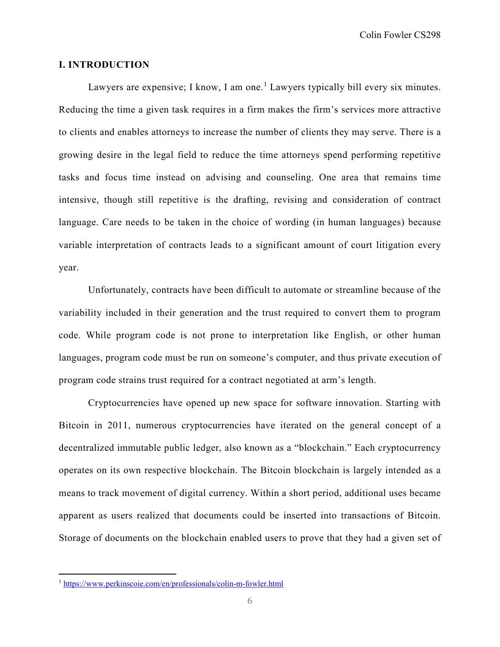Colin Fowler CS298

## **I. INTRODUCTION**

Lawyers are expensive; I know, I am one.<sup>[1](#page-6-0)</sup> Lawyers typically bill every six minutes. Reducing the time a given task requires in a firm makes the firm's services more attractive to clients and enables attorneys to increase the number of clients they may serve. There is a growing desire in the legal field to reduce the time attorneys spend performing repetitive tasks and focus time instead on advising and counseling. One area that remains time intensive, though still repetitive is the drafting, revising and consideration of contract language. Care needs to be taken in the choice of wording (in human languages) because variable interpretation of contracts leads to a significant amount of court litigation every year.

Unfortunately, contracts have been difficult to automate or streamline because of the variability included in their generation and the trust required to convert them to program code. While program code is not prone to interpretation like English, or other human languages, program code must be run on someone's computer, and thus private execution of program code strains trust required for a contract negotiated at arm's length.

Cryptocurrencies have opened up new space for software innovation. Starting with Bitcoin in 2011, numerous cryptocurrencies have iterated on the general concept of a decentralized immutable public ledger, also known as a "blockchain." Each cryptocurrency operates on its own respective blockchain. The Bitcoin blockchain is largely intended as a means to track movement of digital currency. Within a short period, additional uses became apparent as users realized that documents could be inserted into transactions of Bitcoin. Storage of documents on the blockchain enabled users to prove that they had a given set of

<span id="page-6-0"></span> <sup>1</sup> <https://www.perkinscoie.com/en/professionals/colin-m-fowler.html>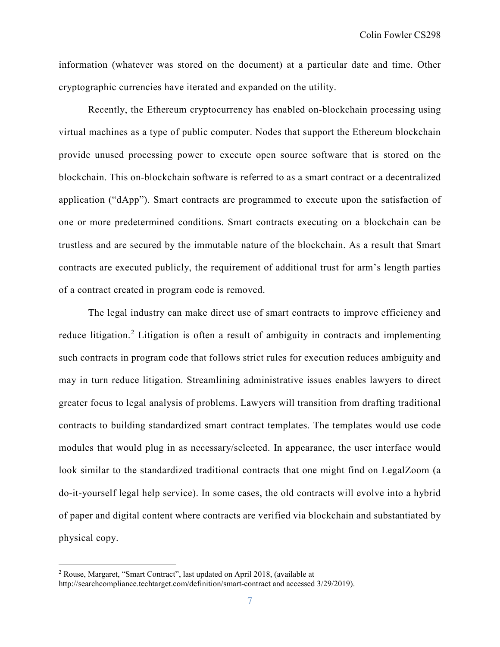information (whatever was stored on the document) at a particular date and time. Other cryptographic currencies have iterated and expanded on the utility.

Recently, the Ethereum cryptocurrency has enabled on-blockchain processing using virtual machines as a type of public computer. Nodes that support the Ethereum blockchain provide unused processing power to execute open source software that is stored on the blockchain. This on-blockchain software is referred to as a smart contract or a decentralized application ("dApp"). Smart contracts are programmed to execute upon the satisfaction of one or more predetermined conditions. Smart contracts executing on a blockchain can be trustless and are secured by the immutable nature of the blockchain. As a result that Smart contracts are executed publicly, the requirement of additional trust for arm's length parties of a contract created in program code is removed.

The legal industry can make direct use of smart contracts to improve efficiency and reduce litigation.<sup>[2](#page-7-0)</sup> Litigation is often a result of ambiguity in contracts and implementing such contracts in program code that follows strict rules for execution reduces ambiguity and may in turn reduce litigation. Streamlining administrative issues enables lawyers to direct greater focus to legal analysis of problems. Lawyers will transition from drafting traditional contracts to building standardized smart contract templates. The templates would use code modules that would plug in as necessary/selected. In appearance, the user interface would look similar to the standardized traditional contracts that one might find on LegalZoom (a do-it-yourself legal help service). In some cases, the old contracts will evolve into a hybrid of paper and digital content where contracts are verified via blockchain and substantiated by physical copy.

<span id="page-7-0"></span> <sup>2</sup> Rouse, Margaret, "Smart Contract", last updated on April 2018, (available at

http://searchcompliance.techtarget.com/definition/smart-contract and accessed 3/29/2019).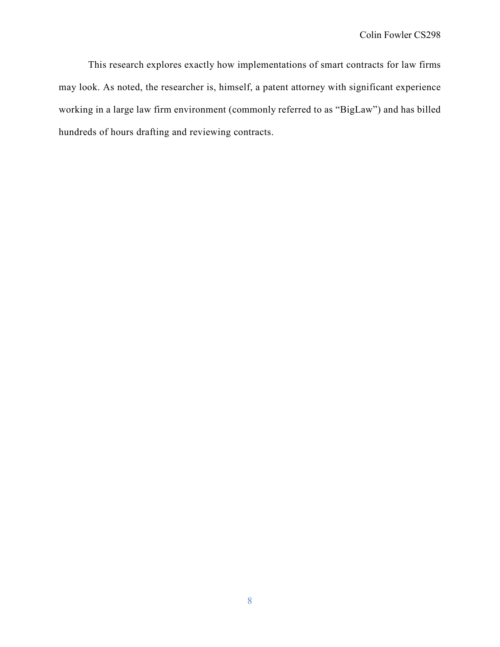This research explores exactly how implementations of smart contracts for law firms may look. As noted, the researcher is, himself, a patent attorney with significant experience working in a large law firm environment (commonly referred to as "BigLaw") and has billed hundreds of hours drafting and reviewing contracts.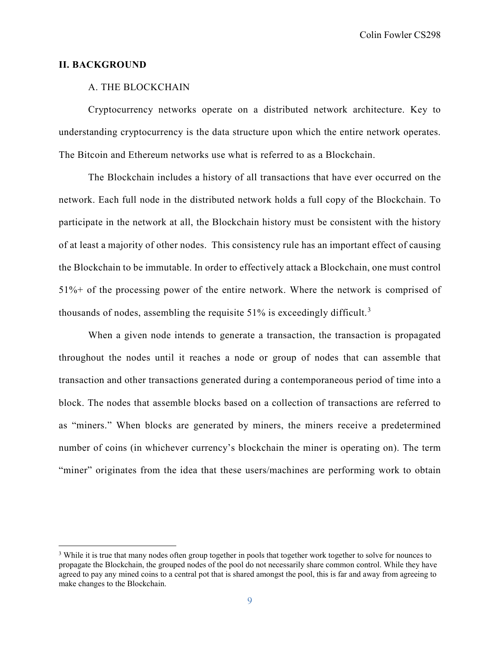Colin Fowler CS298

## **II. BACKGROUND**

## A. THE BLOCKCHAIN

Cryptocurrency networks operate on a distributed network architecture. Key to understanding cryptocurrency is the data structure upon which the entire network operates. The Bitcoin and Ethereum networks use what is referred to as a Blockchain.

The Blockchain includes a history of all transactions that have ever occurred on the network. Each full node in the distributed network holds a full copy of the Blockchain. To participate in the network at all, the Blockchain history must be consistent with the history of at least a majority of other nodes. This consistency rule has an important effect of causing the Blockchain to be immutable. In order to effectively attack a Blockchain, one must control 51%+ of the processing power of the entire network. Where the network is comprised of thousands of nodes, assembling the requisite  $51\%$  is exceedingly difficult.<sup>[3](#page-9-0)</sup>

When a given node intends to generate a transaction, the transaction is propagated throughout the nodes until it reaches a node or group of nodes that can assemble that transaction and other transactions generated during a contemporaneous period of time into a block. The nodes that assemble blocks based on a collection of transactions are referred to as "miners." When blocks are generated by miners, the miners receive a predetermined number of coins (in whichever currency's blockchain the miner is operating on). The term "miner" originates from the idea that these users/machines are performing work to obtain

<span id="page-9-0"></span><sup>&</sup>lt;sup>3</sup> While it is true that many nodes often group together in pools that together work together to solve for nounces to propagate the Blockchain, the grouped nodes of the pool do not necessarily share common control. While they have agreed to pay any mined coins to a central pot that is shared amongst the pool, this is far and away from agreeing to make changes to the Blockchain.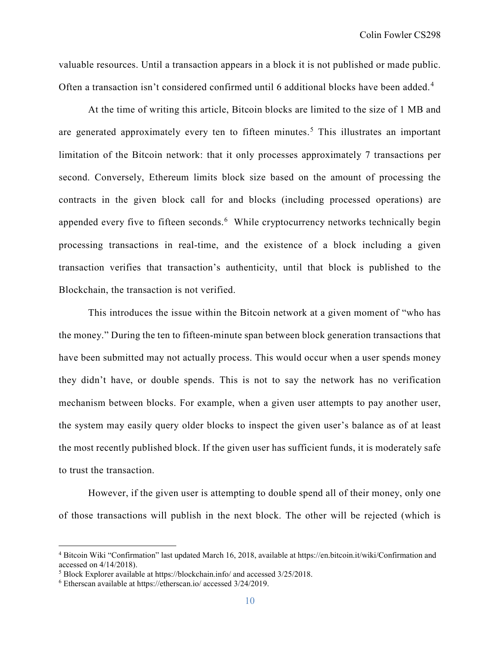valuable resources. Until a transaction appears in a block it is not published or made public. Often a transaction isn't considered confirmed until 6 additional blocks have been added.<sup>[4](#page-10-0)</sup>

At the time of writing this article, Bitcoin blocks are limited to the size of 1 MB and are generated approximately every ten to fifteen minutes.<sup>[5](#page-10-1)</sup> This illustrates an important limitation of the Bitcoin network: that it only processes approximately 7 transactions per second. Conversely, Ethereum limits block size based on the amount of processing the contracts in the given block call for and blocks (including processed operations) are appended every five to fifteen seconds.<sup>[6](#page-10-2)</sup> While cryptocurrency networks technically begin processing transactions in real-time, and the existence of a block including a given transaction verifies that transaction's authenticity, until that block is published to the Blockchain, the transaction is not verified.

This introduces the issue within the Bitcoin network at a given moment of "who has the money." During the ten to fifteen-minute span between block generation transactions that have been submitted may not actually process. This would occur when a user spends money they didn't have, or double spends. This is not to say the network has no verification mechanism between blocks. For example, when a given user attempts to pay another user, the system may easily query older blocks to inspect the given user's balance as of at least the most recently published block. If the given user has sufficient funds, it is moderately safe to trust the transaction.

However, if the given user is attempting to double spend all of their money, only one of those transactions will publish in the next block. The other will be rejected (which is

<span id="page-10-0"></span> <sup>4</sup> Bitcoin Wiki "Confirmation" last updated March 16, 2018, available at https://en.bitcoin.it/wiki/Confirmation and accessed on 4/14/2018).

<span id="page-10-1"></span><sup>5</sup> Block Explorer available at https://blockchain.info/ and accessed 3/25/2018.

<span id="page-10-2"></span><sup>6</sup> Etherscan available at https://etherscan.io/ accessed 3/24/2019.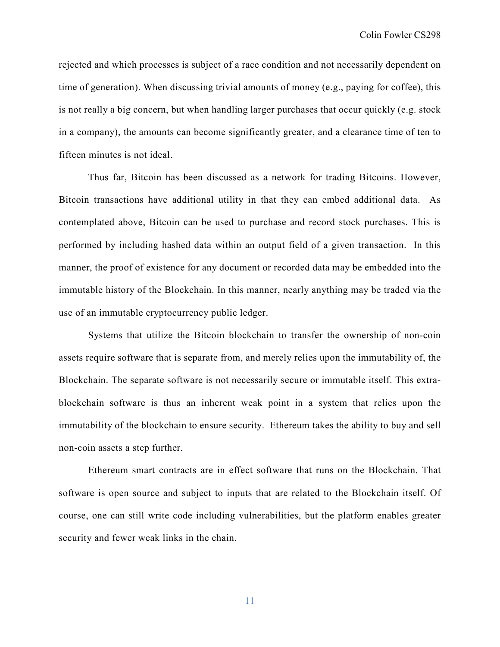rejected and which processes is subject of a race condition and not necessarily dependent on time of generation). When discussing trivial amounts of money (e.g., paying for coffee), this is not really a big concern, but when handling larger purchases that occur quickly (e.g. stock in a company), the amounts can become significantly greater, and a clearance time of ten to fifteen minutes is not ideal.

Thus far, Bitcoin has been discussed as a network for trading Bitcoins. However, Bitcoin transactions have additional utility in that they can embed additional data. As contemplated above, Bitcoin can be used to purchase and record stock purchases. This is performed by including hashed data within an output field of a given transaction. In this manner, the proof of existence for any document or recorded data may be embedded into the immutable history of the Blockchain. In this manner, nearly anything may be traded via the use of an immutable cryptocurrency public ledger.

Systems that utilize the Bitcoin blockchain to transfer the ownership of non-coin assets require software that is separate from, and merely relies upon the immutability of, the Blockchain. The separate software is not necessarily secure or immutable itself. This extrablockchain software is thus an inherent weak point in a system that relies upon the immutability of the blockchain to ensure security. Ethereum takes the ability to buy and sell non-coin assets a step further.

Ethereum smart contracts are in effect software that runs on the Blockchain. That software is open source and subject to inputs that are related to the Blockchain itself. Of course, one can still write code including vulnerabilities, but the platform enables greater security and fewer weak links in the chain.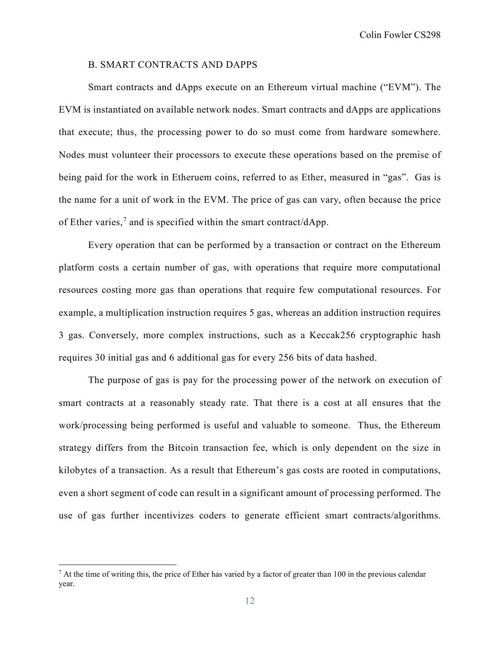## B. SMART CONTRACTS AND DAPPS

Smart contracts and dApps execute on an Ethereum virtual machine ("EVM"). The EVM is instantiated on available network nodes. Smart contracts and dApps are applications that execute; thus, the processing power to do so must come from hardware somewhere. Nodes must volunteer their processors to execute these operations based on the premise of being paid for the work in Etheruem coins, referred to as Ether, measured in "gas". Gas is the name for a unit of work in the EVM. The price of gas can vary, often because the price of Ether varies,<sup>[7](#page-12-0)</sup> and is specified within the smart contract/dApp.

Every operation that can be performed by a transaction or contract on the Ethereum platform costs a certain number of gas, with operations that require more computational resources costing more gas than operations that require few computational resources. For example, a multiplication instruction requires 5 gas, whereas an addition instruction requires 3 gas. Conversely, more complex instructions, such as a Keccak256 cryptographic hash requires 30 initial gas and 6 additional gas for every 256 bits of data hashed.

The purpose of gas is pay for the processing power of the network on execution of smart contracts at a reasonably steady rate. That there is a cost at all ensures that the work/processing being performed is useful and valuable to someone. Thus, the Ethereum strategy differs from the Bitcoin transaction fee, which is only dependent on the size in kilobytes of a transaction. As a result that Ethereum's gas costs are rooted in computations, even a short segment of code can result in a significant amount of processing performed. The use of gas further incentivizes coders to generate efficient smart contracts/algorithms.

<span id="page-12-0"></span> $^7$  At the time of writing this, the price of Ether has varied by a factor of greater than 100 in the previous calendar year.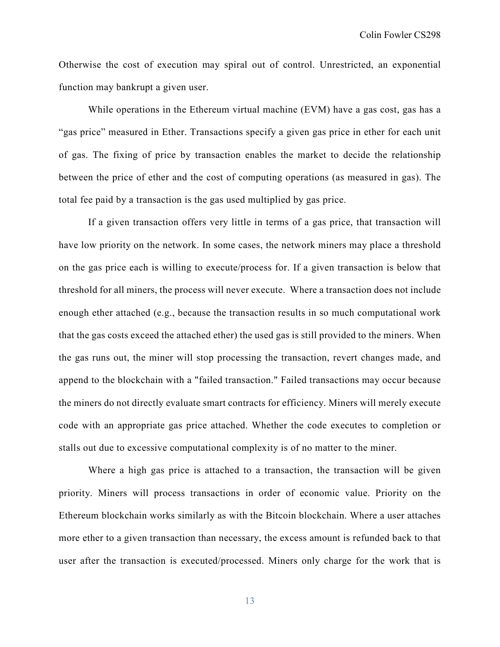Otherwise the cost of execution may spiral out of control. Unrestricted, an exponential function may bankrupt a given user.

While operations in the Ethereum virtual machine (EVM) have a gas cost, gas has a "gas price" measured in Ether. Transactions specify a given gas price in ether for each unit of gas. The fixing of price by transaction enables the market to decide the relationship between the price of ether and the cost of computing operations (as measured in gas). The total fee paid by a transaction is the gas used multiplied by gas price.

If a given transaction offers very little in terms of a gas price, that transaction will have low priority on the network. In some cases, the network miners may place a threshold on the gas price each is willing to execute/process for. If a given transaction is below that threshold for all miners, the process will never execute. Where a transaction does not include enough ether attached (e.g., because the transaction results in so much computational work that the gas costs exceed the attached ether) the used gas is still provided to the miners. When the gas runs out, the miner will stop processing the transaction, revert changes made, and append to the blockchain with a "failed transaction." Failed transactions may occur because the miners do not directly evaluate smart contracts for efficiency. Miners will merely execute code with an appropriate gas price attached. Whether the code executes to completion or stalls out due to excessive computational complexity is of no matter to the miner.

Where a high gas price is attached to a transaction, the transaction will be given priority. Miners will process transactions in order of economic value. Priority on the Ethereum blockchain works similarly as with the Bitcoin blockchain. Where a user attaches more ether to a given transaction than necessary, the excess amount is refunded back to that user after the transaction is executed/processed. Miners only charge for the work that is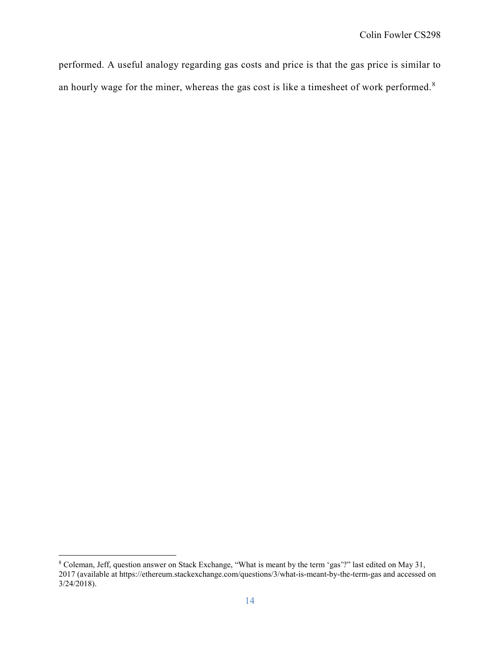performed. A useful analogy regarding gas costs and price is that the gas price is similar to an hourly wage for the miner, whereas the gas cost is like a timesheet of work performed.<sup>[8](#page-14-0)</sup>

<span id="page-14-0"></span><sup>8&</sup>lt;br>8 Coleman, Jeff, question answer on Stack Exchange, "What is meant by the term 'gas'?" last edited on May 31, 2017 (available at https://ethereum.stackexchange.com/questions/3/what-is-meant-by-the-term-gas and accessed on 3/24/2018).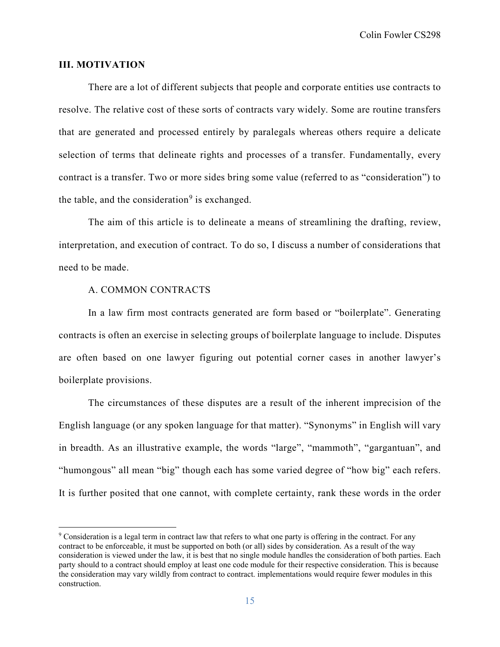Colin Fowler CS298

## **III. MOTIVATION**

There are a lot of different subjects that people and corporate entities use contracts to resolve. The relative cost of these sorts of contracts vary widely. Some are routine transfers that are generated and processed entirely by paralegals whereas others require a delicate selection of terms that delineate rights and processes of a transfer. Fundamentally, every contract is a transfer. Two or more sides bring some value (referred to as "consideration") to the table, and the consideration<sup>[9](#page-15-0)</sup> is exchanged.

The aim of this article is to delineate a means of streamlining the drafting, review, interpretation, and execution of contract. To do so, I discuss a number of considerations that need to be made.

## A. COMMON CONTRACTS

In a law firm most contracts generated are form based or "boilerplate". Generating contracts is often an exercise in selecting groups of boilerplate language to include. Disputes are often based on one lawyer figuring out potential corner cases in another lawyer's boilerplate provisions.

 The circumstances of these disputes are a result of the inherent imprecision of the English language (or any spoken language for that matter). "Synonyms" in English will vary in breadth. As an illustrative example, the words "large", "mammoth", "gargantuan", and "humongous" all mean "big" though each has some varied degree of "how big" each refers. It is further posited that one cannot, with complete certainty, rank these words in the order

<span id="page-15-0"></span> <sup>9</sup> Consideration is a legal term in contract law that refers to what one party is offering in the contract. For any contract to be enforceable, it must be supported on both (or all) sides by consideration. As a result of the way consideration is viewed under the law, it is best that no single module handles the consideration of both parties. Each party should to a contract should employ at least one code module for their respective consideration. This is because the consideration may vary wildly from contract to contract. implementations would require fewer modules in this construction.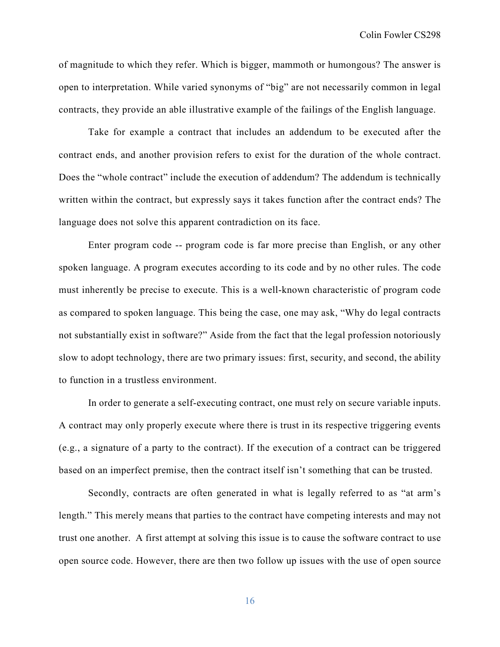of magnitude to which they refer. Which is bigger, mammoth or humongous? The answer is open to interpretation. While varied synonyms of "big" are not necessarily common in legal contracts, they provide an able illustrative example of the failings of the English language.

Take for example a contract that includes an addendum to be executed after the contract ends, and another provision refers to exist for the duration of the whole contract. Does the "whole contract" include the execution of addendum? The addendum is technically written within the contract, but expressly says it takes function after the contract ends? The language does not solve this apparent contradiction on its face.

Enter program code -- program code is far more precise than English, or any other spoken language. A program executes according to its code and by no other rules. The code must inherently be precise to execute. This is a well-known characteristic of program code as compared to spoken language. This being the case, one may ask, "Why do legal contracts not substantially exist in software?" Aside from the fact that the legal profession notoriously slow to adopt technology, there are two primary issues: first, security, and second, the ability to function in a trustless environment.

In order to generate a self-executing contract, one must rely on secure variable inputs. A contract may only properly execute where there is trust in its respective triggering events (e.g., a signature of a party to the contract). If the execution of a contract can be triggered based on an imperfect premise, then the contract itself isn't something that can be trusted.

Secondly, contracts are often generated in what is legally referred to as "at arm's length." This merely means that parties to the contract have competing interests and may not trust one another. A first attempt at solving this issue is to cause the software contract to use open source code. However, there are then two follow up issues with the use of open source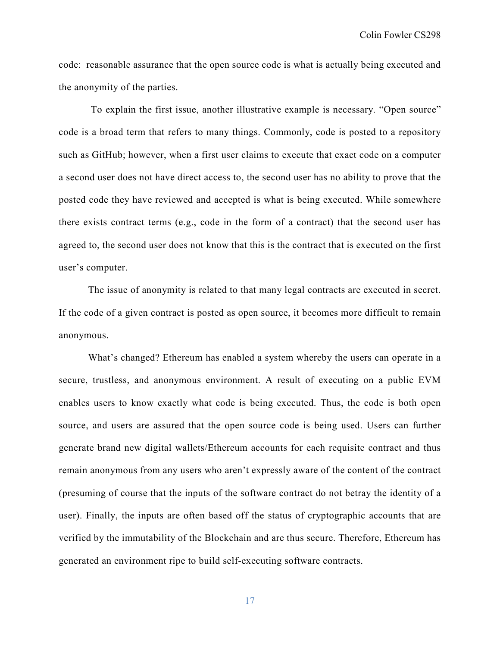code: reasonable assurance that the open source code is what is actually being executed and the anonymity of the parties.

To explain the first issue, another illustrative example is necessary. "Open source" code is a broad term that refers to many things. Commonly, code is posted to a repository such as GitHub; however, when a first user claims to execute that exact code on a computer a second user does not have direct access to, the second user has no ability to prove that the posted code they have reviewed and accepted is what is being executed. While somewhere there exists contract terms (e.g., code in the form of a contract) that the second user has agreed to, the second user does not know that this is the contract that is executed on the first user's computer.

The issue of anonymity is related to that many legal contracts are executed in secret. If the code of a given contract is posted as open source, it becomes more difficult to remain anonymous.

What's changed? Ethereum has enabled a system whereby the users can operate in a secure, trustless, and anonymous environment. A result of executing on a public EVM enables users to know exactly what code is being executed. Thus, the code is both open source, and users are assured that the open source code is being used. Users can further generate brand new digital wallets/Ethereum accounts for each requisite contract and thus remain anonymous from any users who aren't expressly aware of the content of the contract (presuming of course that the inputs of the software contract do not betray the identity of a user). Finally, the inputs are often based off the status of cryptographic accounts that are verified by the immutability of the Blockchain and are thus secure. Therefore, Ethereum has generated an environment ripe to build self-executing software contracts.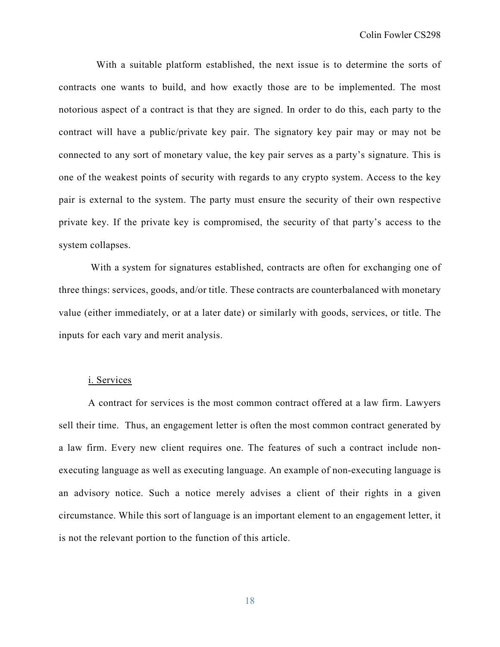With a suitable platform established, the next issue is to determine the sorts of contracts one wants to build, and how exactly those are to be implemented. The most notorious aspect of a contract is that they are signed. In order to do this, each party to the contract will have a public/private key pair. The signatory key pair may or may not be connected to any sort of monetary value, the key pair serves as a party's signature. This is one of the weakest points of security with regards to any crypto system. Access to the key pair is external to the system. The party must ensure the security of their own respective private key. If the private key is compromised, the security of that party's access to the system collapses.

With a system for signatures established, contracts are often for exchanging one of three things: services, goods, and/or title. These contracts are counterbalanced with monetary value (either immediately, or at a later date) or similarly with goods, services, or title. The inputs for each vary and merit analysis.

## i. Services

A contract for services is the most common contract offered at a law firm. Lawyers sell their time. Thus, an engagement letter is often the most common contract generated by a law firm. Every new client requires one. The features of such a contract include nonexecuting language as well as executing language. An example of non-executing language is an advisory notice. Such a notice merely advises a client of their rights in a given circumstance. While this sort of language is an important element to an engagement letter, it is not the relevant portion to the function of this article.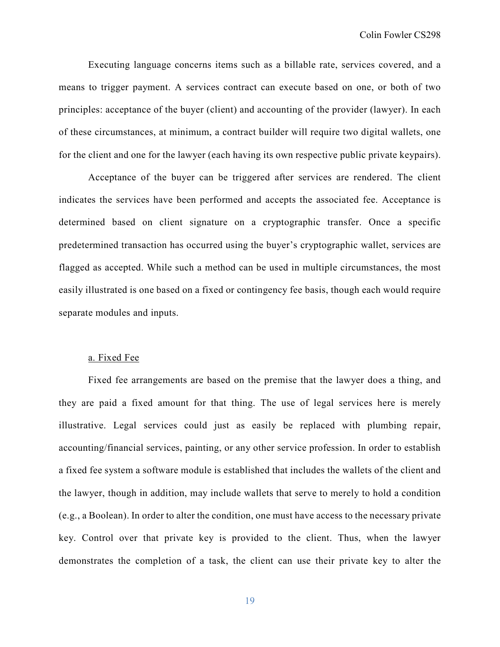Executing language concerns items such as a billable rate, services covered, and a means to trigger payment. A services contract can execute based on one, or both of two principles: acceptance of the buyer (client) and accounting of the provider (lawyer). In each of these circumstances, at minimum, a contract builder will require two digital wallets, one for the client and one for the lawyer (each having its own respective public private keypairs).

Acceptance of the buyer can be triggered after services are rendered. The client indicates the services have been performed and accepts the associated fee. Acceptance is determined based on client signature on a cryptographic transfer. Once a specific predetermined transaction has occurred using the buyer's cryptographic wallet, services are flagged as accepted. While such a method can be used in multiple circumstances, the most easily illustrated is one based on a fixed or contingency fee basis, though each would require separate modules and inputs.

#### a. Fixed Fee

Fixed fee arrangements are based on the premise that the lawyer does a thing, and they are paid a fixed amount for that thing. The use of legal services here is merely illustrative. Legal services could just as easily be replaced with plumbing repair, accounting/financial services, painting, or any other service profession. In order to establish a fixed fee system a software module is established that includes the wallets of the client and the lawyer, though in addition, may include wallets that serve to merely to hold a condition (e.g., a Boolean). In order to alter the condition, one must have access to the necessary private key. Control over that private key is provided to the client. Thus, when the lawyer demonstrates the completion of a task, the client can use their private key to alter the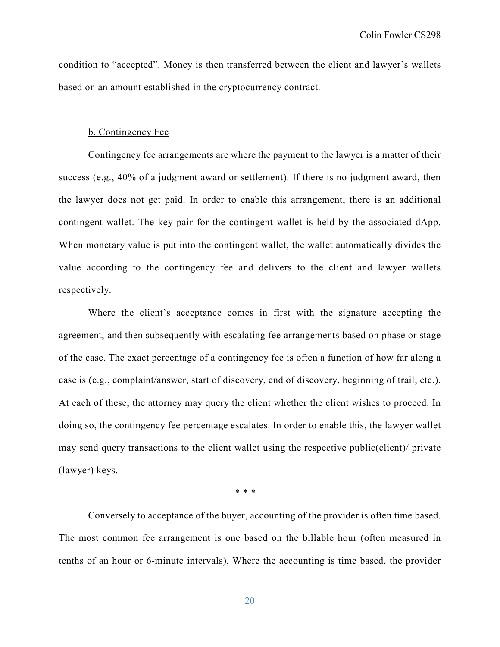condition to "accepted". Money is then transferred between the client and lawyer's wallets based on an amount established in the cryptocurrency contract.

#### b. Contingency Fee

Contingency fee arrangements are where the payment to the lawyer is a matter of their success (e.g., 40% of a judgment award or settlement). If there is no judgment award, then the lawyer does not get paid. In order to enable this arrangement, there is an additional contingent wallet. The key pair for the contingent wallet is held by the associated dApp. When monetary value is put into the contingent wallet, the wallet automatically divides the value according to the contingency fee and delivers to the client and lawyer wallets respectively.

Where the client's acceptance comes in first with the signature accepting the agreement, and then subsequently with escalating fee arrangements based on phase or stage of the case. The exact percentage of a contingency fee is often a function of how far along a case is (e.g., complaint/answer, start of discovery, end of discovery, beginning of trail, etc.). At each of these, the attorney may query the client whether the client wishes to proceed. In doing so, the contingency fee percentage escalates. In order to enable this, the lawyer wallet may send query transactions to the client wallet using the respective public(client)/ private (lawyer) keys.

\* \* \*

Conversely to acceptance of the buyer, accounting of the provider is often time based. The most common fee arrangement is one based on the billable hour (often measured in tenths of an hour or 6-minute intervals). Where the accounting is time based, the provider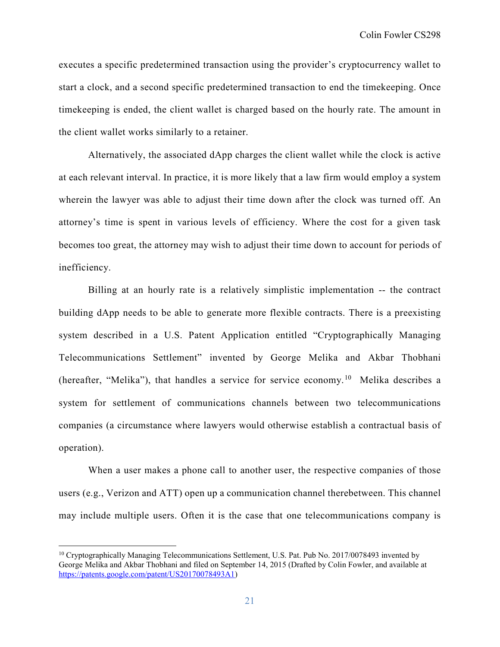executes a specific predetermined transaction using the provider's cryptocurrency wallet to start a clock, and a second specific predetermined transaction to end the timekeeping. Once timekeeping is ended, the client wallet is charged based on the hourly rate. The amount in the client wallet works similarly to a retainer.

Alternatively, the associated dApp charges the client wallet while the clock is active at each relevant interval. In practice, it is more likely that a law firm would employ a system wherein the lawyer was able to adjust their time down after the clock was turned off. An attorney's time is spent in various levels of efficiency. Where the cost for a given task becomes too great, the attorney may wish to adjust their time down to account for periods of inefficiency.

Billing at an hourly rate is a relatively simplistic implementation -- the contract building dApp needs to be able to generate more flexible contracts. There is a preexisting system described in a U.S. Patent Application entitled "Cryptographically Managing Telecommunications Settlement" invented by George Melika and Akbar Thobhani (hereafter, "Melika"), that handles a service for service economy.<sup>[10](#page-21-0)</sup> Melika describes a system for settlement of communications channels between two telecommunications companies (a circumstance where lawyers would otherwise establish a contractual basis of operation).

When a user makes a phone call to another user, the respective companies of those users (e.g., Verizon and ATT) open up a communication channel therebetween. This channel may include multiple users. Often it is the case that one telecommunications company is

<span id="page-21-0"></span><sup>&</sup>lt;sup>10</sup> Cryptographically Managing Telecommunications Settlement, U.S. Pat. Pub No. 2017/0078493 invented by George Melika and Akbar Thobhani and filed on September 14, 2015 (Drafted by Colin Fowler, and available at [https://patents.google.com/patent/US20170078493A1\)](https://patents.google.com/patent/US20170078493A1)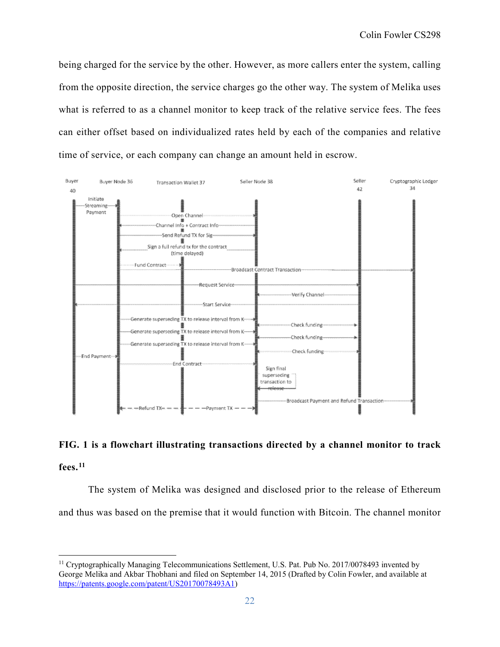being charged for the service by the other. However, as more callers enter the system, calling from the opposite direction, the service charges go the other way. The system of Melika uses what is referred to as a channel monitor to keep track of the relative service fees. The fees can either offset based on individualized rates held by each of the companies and relative time of service, or each company can change an amount held in escrow.



# **FIG. 1 is a flowchart illustrating transactions directed by a channel monitor to track fees. [11](#page-22-0)**

The system of Melika was designed and disclosed prior to the release of Ethereum and thus was based on the premise that it would function with Bitcoin. The channel monitor

<span id="page-22-0"></span> <sup>11</sup> Cryptographically Managing Telecommunications Settlement, U.S. Pat. Pub No. 2017/0078493 invented by George Melika and Akbar Thobhani and filed on September 14, 2015 (Drafted by Colin Fowler, and available at [https://patents.google.com/patent/US20170078493A1\)](https://patents.google.com/patent/US20170078493A1)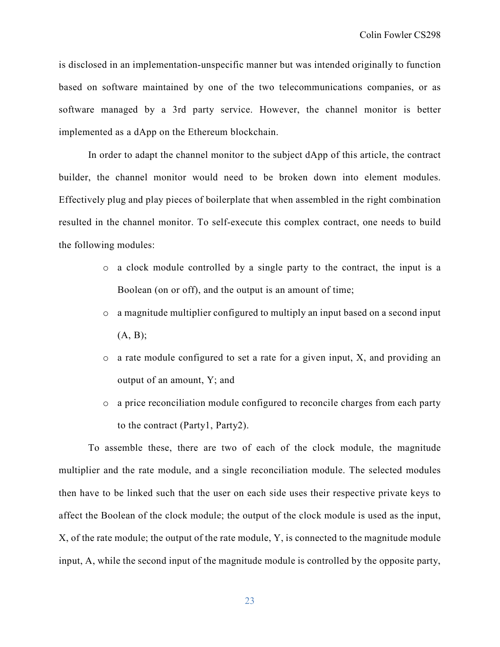is disclosed in an implementation-unspecific manner but was intended originally to function based on software maintained by one of the two telecommunications companies, or as software managed by a 3rd party service. However, the channel monitor is better implemented as a dApp on the Ethereum blockchain.

In order to adapt the channel monitor to the subject dApp of this article, the contract builder, the channel monitor would need to be broken down into element modules. Effectively plug and play pieces of boilerplate that when assembled in the right combination resulted in the channel monitor. To self-execute this complex contract, one needs to build the following modules:

- o a clock module controlled by a single party to the contract, the input is a Boolean (on or off), and the output is an amount of time;
- o a magnitude multiplier configured to multiply an input based on a second input (A, B);
- o a rate module configured to set a rate for a given input, X, and providing an output of an amount, Y; and
- o a price reconciliation module configured to reconcile charges from each party to the contract (Party1, Party2).

To assemble these, there are two of each of the clock module, the magnitude multiplier and the rate module, and a single reconciliation module. The selected modules then have to be linked such that the user on each side uses their respective private keys to affect the Boolean of the clock module; the output of the clock module is used as the input, X, of the rate module; the output of the rate module, Y, is connected to the magnitude module input, A, while the second input of the magnitude module is controlled by the opposite party,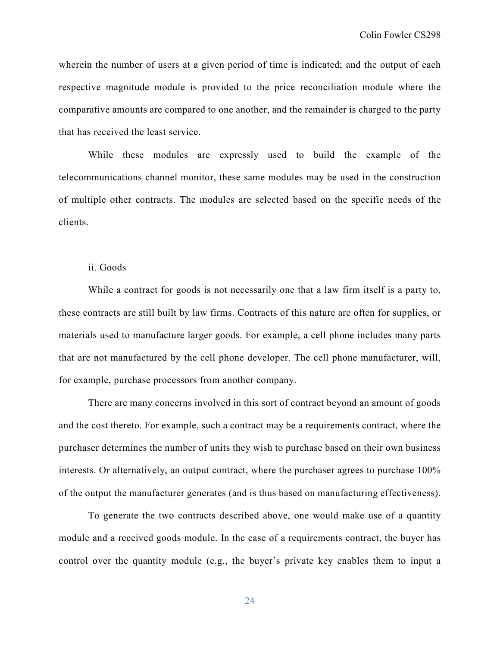wherein the number of users at a given period of time is indicated; and the output of each respective magnitude module is provided to the price reconciliation module where the comparative amounts are compared to one another, and the remainder is charged to the party that has received the least service.

While these modules are expressly used to build the example of the telecommunications channel monitor, these same modules may be used in the construction of multiple other contracts. The modules are selected based on the specific needs of the clients.

## ii. Goods

While a contract for goods is not necessarily one that a law firm itself is a party to, these contracts are still built by law firms. Contracts of this nature are often for supplies, or materials used to manufacture larger goods. For example, a cell phone includes many parts that are not manufactured by the cell phone developer. The cell phone manufacturer, will, for example, purchase processors from another company.

There are many concerns involved in this sort of contract beyond an amount of goods and the cost thereto. For example, such a contract may be a requirements contract, where the purchaser determines the number of units they wish to purchase based on their own business interests. Or alternatively, an output contract, where the purchaser agrees to purchase 100% of the output the manufacturer generates (and is thus based on manufacturing effectiveness).

To generate the two contracts described above, one would make use of a quantity module and a received goods module. In the case of a requirements contract, the buyer has control over the quantity module (e.g., the buyer's private key enables them to input a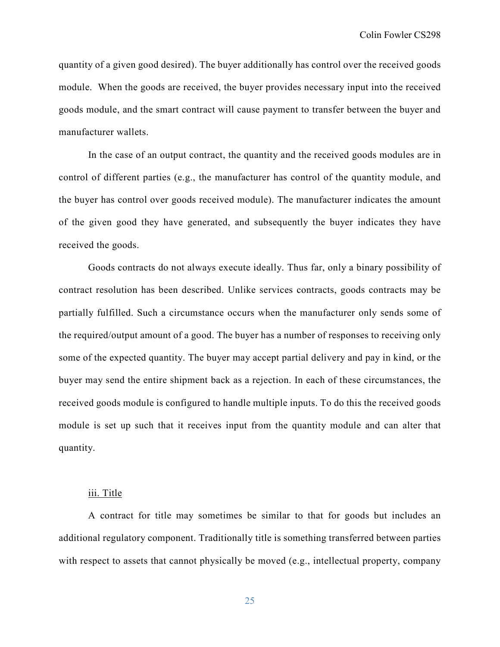quantity of a given good desired). The buyer additionally has control over the received goods module. When the goods are received, the buyer provides necessary input into the received goods module, and the smart contract will cause payment to transfer between the buyer and manufacturer wallets.

In the case of an output contract, the quantity and the received goods modules are in control of different parties (e.g., the manufacturer has control of the quantity module, and the buyer has control over goods received module). The manufacturer indicates the amount of the given good they have generated, and subsequently the buyer indicates they have received the goods.

Goods contracts do not always execute ideally. Thus far, only a binary possibility of contract resolution has been described. Unlike services contracts, goods contracts may be partially fulfilled. Such a circumstance occurs when the manufacturer only sends some of the required/output amount of a good. The buyer has a number of responses to receiving only some of the expected quantity. The buyer may accept partial delivery and pay in kind, or the buyer may send the entire shipment back as a rejection. In each of these circumstances, the received goods module is configured to handle multiple inputs. To do this the received goods module is set up such that it receives input from the quantity module and can alter that quantity.

#### iii. Title

A contract for title may sometimes be similar to that for goods but includes an additional regulatory component. Traditionally title is something transferred between parties with respect to assets that cannot physically be moved (e.g., intellectual property, company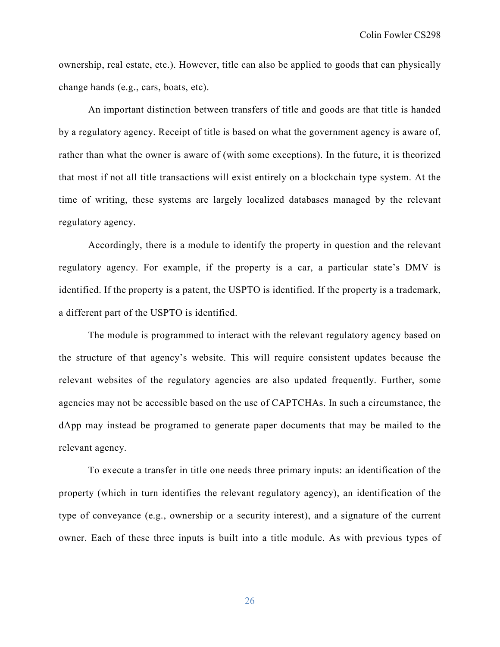ownership, real estate, etc.). However, title can also be applied to goods that can physically change hands (e.g., cars, boats, etc).

An important distinction between transfers of title and goods are that title is handed by a regulatory agency. Receipt of title is based on what the government agency is aware of, rather than what the owner is aware of (with some exceptions). In the future, it is theorized that most if not all title transactions will exist entirely on a blockchain type system. At the time of writing, these systems are largely localized databases managed by the relevant regulatory agency.

Accordingly, there is a module to identify the property in question and the relevant regulatory agency. For example, if the property is a car, a particular state's DMV is identified. If the property is a patent, the USPTO is identified. If the property is a trademark, a different part of the USPTO is identified.

The module is programmed to interact with the relevant regulatory agency based on the structure of that agency's website. This will require consistent updates because the relevant websites of the regulatory agencies are also updated frequently. Further, some agencies may not be accessible based on the use of CAPTCHAs. In such a circumstance, the dApp may instead be programed to generate paper documents that may be mailed to the relevant agency.

To execute a transfer in title one needs three primary inputs: an identification of the property (which in turn identifies the relevant regulatory agency), an identification of the type of conveyance (e.g., ownership or a security interest), and a signature of the current owner. Each of these three inputs is built into a title module. As with previous types of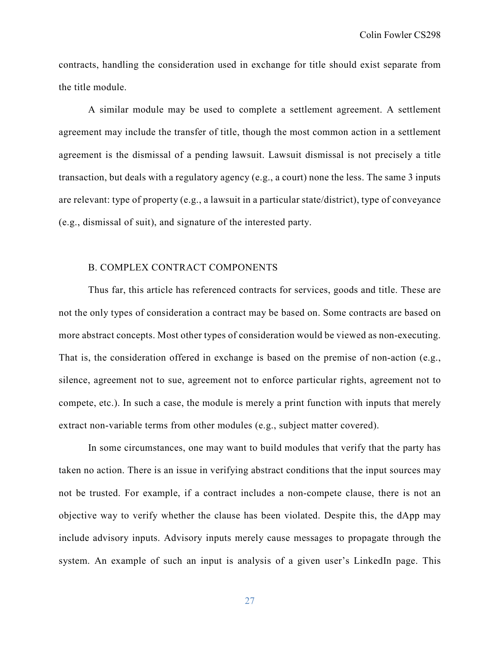contracts, handling the consideration used in exchange for title should exist separate from the title module.

A similar module may be used to complete a settlement agreement. A settlement agreement may include the transfer of title, though the most common action in a settlement agreement is the dismissal of a pending lawsuit. Lawsuit dismissal is not precisely a title transaction, but deals with a regulatory agency (e.g., a court) none the less. The same 3 inputs are relevant: type of property (e.g., a lawsuit in a particular state/district), type of conveyance (e.g., dismissal of suit), and signature of the interested party.

## B. COMPLEX CONTRACT COMPONENTS

Thus far, this article has referenced contracts for services, goods and title. These are not the only types of consideration a contract may be based on. Some contracts are based on more abstract concepts. Most other types of consideration would be viewed as non-executing. That is, the consideration offered in exchange is based on the premise of non-action (e.g., silence, agreement not to sue, agreement not to enforce particular rights, agreement not to compete, etc.). In such a case, the module is merely a print function with inputs that merely extract non-variable terms from other modules (e.g., subject matter covered).

In some circumstances, one may want to build modules that verify that the party has taken no action. There is an issue in verifying abstract conditions that the input sources may not be trusted. For example, if a contract includes a non-compete clause, there is not an objective way to verify whether the clause has been violated. Despite this, the dApp may include advisory inputs. Advisory inputs merely cause messages to propagate through the system. An example of such an input is analysis of a given user's LinkedIn page. This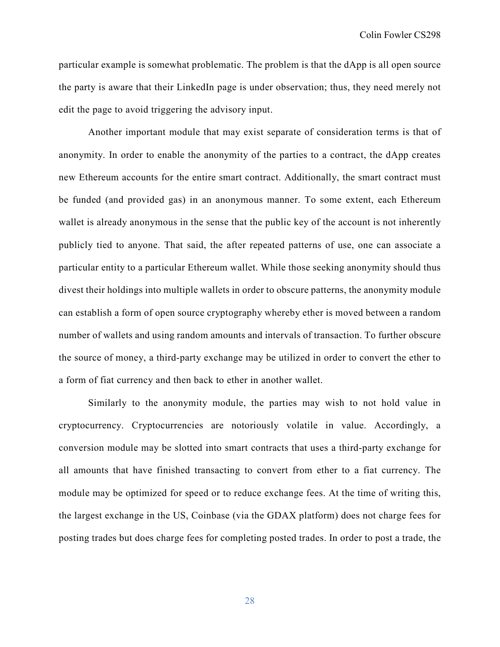particular example is somewhat problematic. The problem is that the dApp is all open source the party is aware that their LinkedIn page is under observation; thus, they need merely not edit the page to avoid triggering the advisory input.

Another important module that may exist separate of consideration terms is that of anonymity. In order to enable the anonymity of the parties to a contract, the dApp creates new Ethereum accounts for the entire smart contract. Additionally, the smart contract must be funded (and provided gas) in an anonymous manner. To some extent, each Ethereum wallet is already anonymous in the sense that the public key of the account is not inherently publicly tied to anyone. That said, the after repeated patterns of use, one can associate a particular entity to a particular Ethereum wallet. While those seeking anonymity should thus divest their holdings into multiple wallets in order to obscure patterns, the anonymity module can establish a form of open source cryptography whereby ether is moved between a random number of wallets and using random amounts and intervals of transaction. To further obscure the source of money, a third-party exchange may be utilized in order to convert the ether to a form of fiat currency and then back to ether in another wallet.

Similarly to the anonymity module, the parties may wish to not hold value in cryptocurrency. Cryptocurrencies are notoriously volatile in value. Accordingly, a conversion module may be slotted into smart contracts that uses a third-party exchange for all amounts that have finished transacting to convert from ether to a fiat currency. The module may be optimized for speed or to reduce exchange fees. At the time of writing this, the largest exchange in the US, Coinbase (via the GDAX platform) does not charge fees for posting trades but does charge fees for completing posted trades. In order to post a trade, the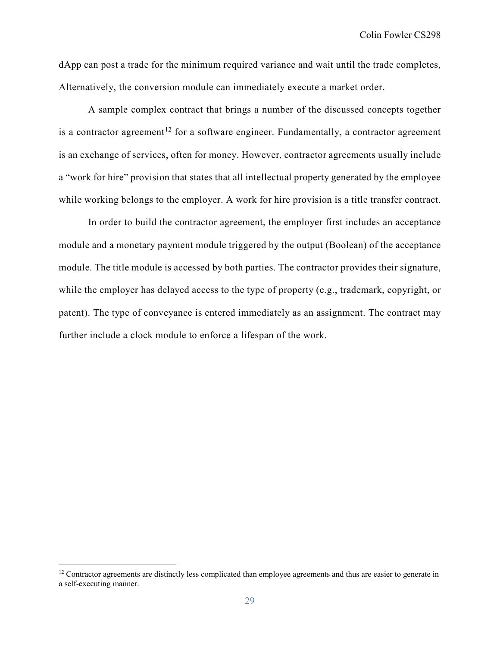dApp can post a trade for the minimum required variance and wait until the trade completes, Alternatively, the conversion module can immediately execute a market order.

A sample complex contract that brings a number of the discussed concepts together is a contractor agreement<sup>[12](#page-29-0)</sup> for a software engineer. Fundamentally, a contractor agreement is an exchange of services, often for money. However, contractor agreements usually include a "work for hire" provision that states that all intellectual property generated by the employee while working belongs to the employer. A work for hire provision is a title transfer contract.

In order to build the contractor agreement, the employer first includes an acceptance module and a monetary payment module triggered by the output (Boolean) of the acceptance module. The title module is accessed by both parties. The contractor provides their signature, while the employer has delayed access to the type of property (e.g., trademark, copyright, or patent). The type of conveyance is entered immediately as an assignment. The contract may further include a clock module to enforce a lifespan of the work.

<span id="page-29-0"></span> $12$  Contractor agreements are distinctly less complicated than employee agreements and thus are easier to generate in a self-executing manner.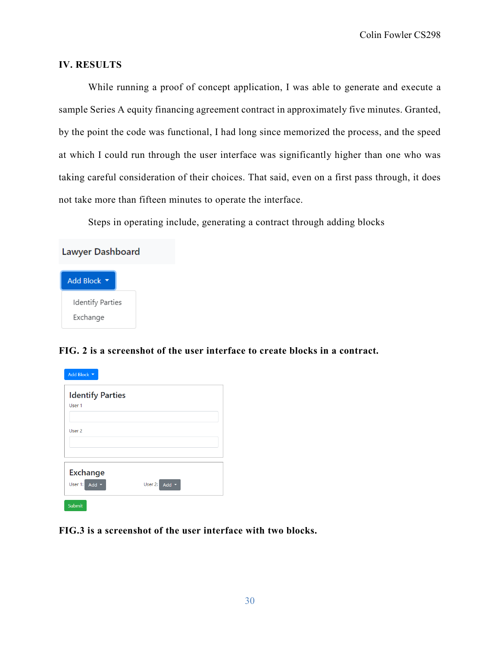## **IV. RESULTS**

While running a proof of concept application, I was able to generate and execute a sample Series A equity financing agreement contract in approximately five minutes. Granted, by the point the code was functional, I had long since memorized the process, and the speed at which I could run through the user interface was significantly higher than one who was taking careful consideration of their choices. That said, even on a first pass through, it does not take more than fifteen minutes to operate the interface.

Steps in operating include, generating a contract through adding blocks

| Lawyer Dashboard      |  |  |  |  |
|-----------------------|--|--|--|--|
| <b>Add Block</b><br>v |  |  |  |  |
| Identify Parties      |  |  |  |  |
| Exchange              |  |  |  |  |

## **FIG. 2 is a screenshot of the user interface to create blocks in a contract.**

| Add Block v                                            |                    |
|--------------------------------------------------------|--------------------|
| <b>Identify Parties</b><br>User 1                      |                    |
| User <sub>2</sub>                                      |                    |
| <b>Exchange</b><br>User 1:<br>Add $\blacktriangledown$ | User 2: Add $\sim$ |
| Submit                                                 |                    |

**FIG.3 is a screenshot of the user interface with two blocks.**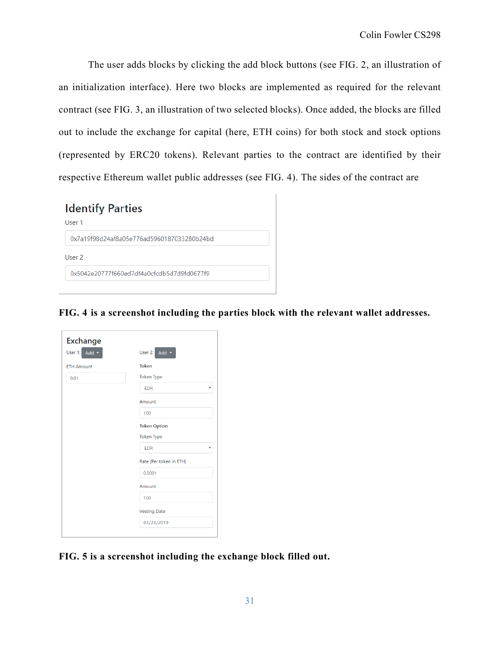The user adds blocks by clicking the add block buttons (see FIG. 2, an illustration of an initialization interface). Here two blocks are implemented as required for the relevant contract (see FIG. 3, an illustration of two selected blocks). Once added, the blocks are filled out to include the exchange for capital (here, ETH coins) for both stock and stock options (represented by ERC20 tokens). Relevant parties to the contract are identified by their respective Ethereum wallet public addresses (see FIG. 4). The sides of the contract are

| <b>Identify Parties</b><br>User 1          |  |
|--------------------------------------------|--|
| 0x7a19f98d24af8a05e776ad5960187033280b24bd |  |
| User <sub>2</sub>                          |  |
| 0x5042e20777f660ed7df4a0cfcdb5d7d9fd0677f9 |  |
|                                            |  |

**FIG. 4 is a screenshot including the parties block with the relevant wallet addresses.**

| <b>Exchange</b>   |                         |  |  |  |  |
|-------------------|-------------------------|--|--|--|--|
| User 1: Add v     | User 2:<br>Add $\sim$   |  |  |  |  |
| <b>ETH Amount</b> | <b>Token</b>            |  |  |  |  |
| 0.01              | <b>Token Type</b>       |  |  |  |  |
|                   | <b>EDR</b><br>۳         |  |  |  |  |
|                   | Amount                  |  |  |  |  |
|                   | 100                     |  |  |  |  |
|                   | <b>Token Option</b>     |  |  |  |  |
|                   | <b>Token Type</b>       |  |  |  |  |
|                   | <b>EDR</b><br>۰         |  |  |  |  |
|                   | Rate (Per token in ETH) |  |  |  |  |
|                   | 0.0001                  |  |  |  |  |
|                   | Amount                  |  |  |  |  |
|                   | 100                     |  |  |  |  |
|                   | <b>Vesting Date</b>     |  |  |  |  |
|                   | 03/23/2019              |  |  |  |  |
|                   |                         |  |  |  |  |

**FIG. 5 is a screenshot including the exchange block filled out.**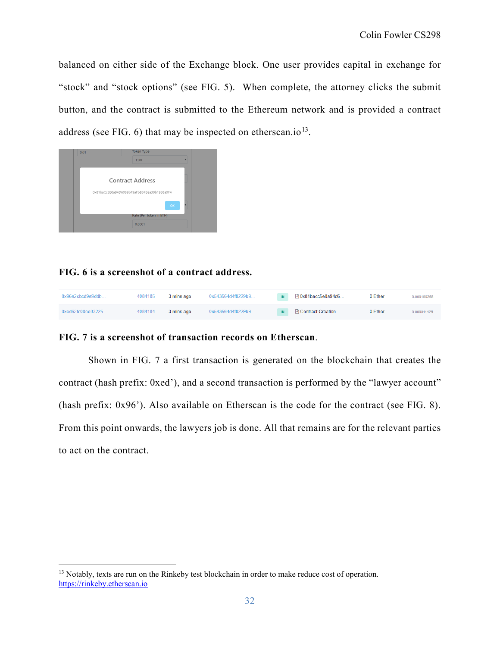balanced on either side of the Exchange block. One user provides capital in exchange for "stock" and "stock options" (see FIG. 5). When complete, the attorney clicks the submit button, and the contract is submitted to the Ethereum network and is provided a contract address (see FIG.  $6$ ) that may be inspected on etherscan.io<sup>13</sup>.



## **FIG. 6 is a screenshot of a contract address.**

| 0x96e2cbcd9e9ddb                  | 4084185 | 3 mins ago | 0x543564d4f8229b9 | $\blacksquare$ 0x81bacc5e0a94d6 | 0 Ether | 0.000190268 |
|-----------------------------------|---------|------------|-------------------|---------------------------------|---------|-------------|
| $0 \times 662$ fc $00$ ee $03225$ | 4084184 | 3 mins ago | 0x543564d4f8229b9 | IN <b>B</b> Contract Creation   | 0 Ether | 0.000811426 |

## **FIG. 7 is a screenshot of transaction records on Etherscan**.

Shown in FIG. 7 a first transaction is generated on the blockchain that creates the contract (hash prefix: 0xed'), and a second transaction is performed by the "lawyer account" (hash prefix: 0x96'). Also available on Etherscan is the code for the contract (see FIG. 8). From this point onwards, the lawyers job is done. All that remains are for the relevant parties to act on the contract.

<span id="page-32-0"></span><sup>&</sup>lt;sup>13</sup> Notably, texts are run on the Rinkeby test blockchain in order to make reduce cost of operation. [https://rinkeby.etherscan.io](https://rinkeby.etherscan.io/)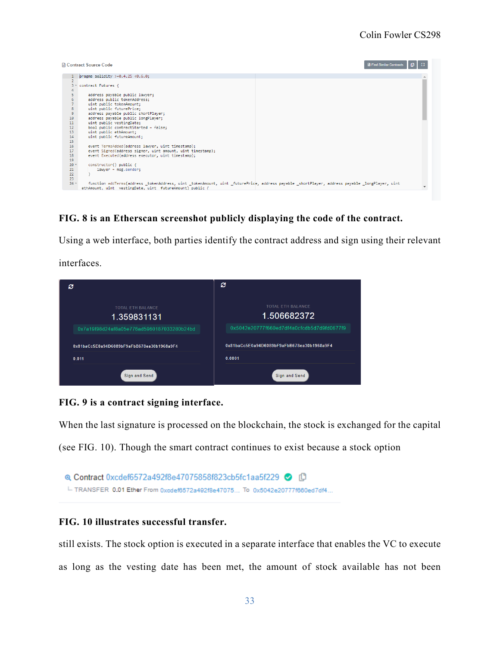

## **FIG. 8 is an Etherscan screenshot publicly displaying the code of the contract.**

Using a web interface, both parties identify the contract address and sign using their relevant

interfaces.

| c                                          | e                                          |
|--------------------------------------------|--------------------------------------------|
| <b>TOTAL ETH BALANCE</b><br>1.359831131    | <b>TOTAL ETH BALANCE</b><br>1.506682372    |
| 0x7a19f98d24af8a05e776ad5960187033280b24bd | 0x5042e20777f660ed7df4a0cfcdb5d7d9fd0677f9 |
| 0x81baCc5E0a94D6089bF9aFbB678ea30b1968a9F4 | 0x81baCc5E0a94D6089bF9aFbB678ea30b1968a9F4 |
| 0.011                                      | 0.0001                                     |
| Sign and Send                              | Sign and Send                              |

## **FIG. 9 is a contract signing interface.**

When the last signature is processed on the blockchain, the stock is exchanged for the capital

(see FIG. 10). Though the smart contract continues to exist because a stock option



## **FIG. 10 illustrates successful transfer.**

still exists. The stock option is executed in a separate interface that enables the VC to execute as long as the vesting date has been met, the amount of stock available has not been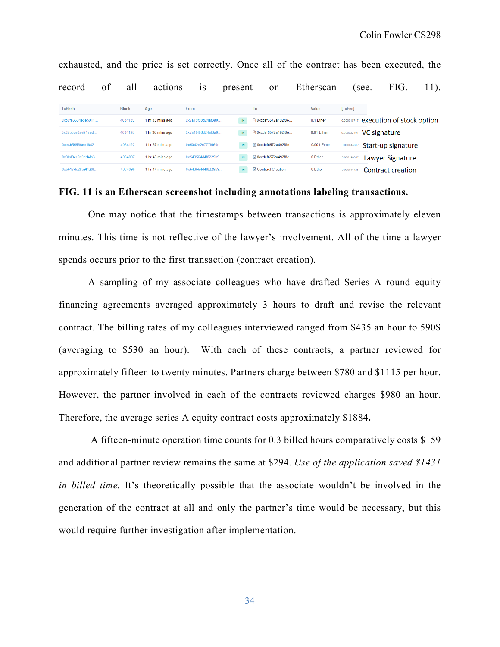| record             | of | all          | actions          | 1S                 | present      | on                         | Etherscan   | see.        | FIG.                      | 11). |
|--------------------|----|--------------|------------------|--------------------|--------------|----------------------------|-------------|-------------|---------------------------|------|
| <b>TxHash</b>      |    | <b>Block</b> | Age              | From               |              | To                         | Value       | TxFee       |                           |      |
| 0xb0fe8594e5e5011  |    | 4084139      | 1 hr 33 mins ago | 0x7a19f98d24af8a0  | $\mathbb{N}$ | □ 0xcdef6572a492f8e        | 0.1 Ether   | 0.000018747 | execution of stock option |      |
| $0x02b8ce0ae21aed$ |    | 4084128      | 1 hr 36 mins ago | 0x7a19f98d24af8a0  | IN           | □ 0xcdef6572a492f8e        | 0.01 Ether  | 0.000032491 | VC signature              |      |
| 0xe4b55566ec1642   |    | 4084122      | 1 hr 37 mins ago | 0x5042e20777f660e  | IN.          | <b>■ 0xcdef6572a492f8e</b> | 0.001 Ether | 0.00004481  | Start-up signature        |      |
| 0x30d8cc9e0dd4fa3  |    | 4084097      | 1 hr 43 mins ago | 0x543564d4f8229b9  | IN           | 目 0xcdef6572a492f8e        | 0 Ether     | 0.000190332 | Lawyer Signature          |      |
| 0xb617dc28e9f120f. |    | 4084096      | 1 hr 44 mins ago | 0x543564d4f8229b9. | IN           | <b>A</b> Contract Creation | 0 Ether     | 0.000811426 | Contract creation         |      |

exhausted, and the price is set correctly. Once all of the contract has been executed, the

## **FIG. 11 is an Etherscan screenshot including annotations labeling transactions.**

One may notice that the timestamps between transactions is approximately eleven minutes. This time is not reflective of the lawyer's involvement. All of the time a lawyer spends occurs prior to the first transaction (contract creation).

A sampling of my associate colleagues who have drafted Series A round equity financing agreements averaged approximately 3 hours to draft and revise the relevant contract. The billing rates of my colleagues interviewed ranged from \$435 an hour to 590\$ (averaging to \$530 an hour). With each of these contracts, a partner reviewed for approximately fifteen to twenty minutes. Partners charge between \$780 and \$1115 per hour. However, the partner involved in each of the contracts reviewed charges \$980 an hour. Therefore, the average series A equity contract costs approximately \$1884**.**

A fifteen-minute operation time counts for 0.3 billed hours comparatively costs \$159 and additional partner review remains the same at \$294. *Use of the application saved \$1431 in billed time.* It's theoretically possible that the associate wouldn't be involved in the generation of the contract at all and only the partner's time would be necessary, but this would require further investigation after implementation.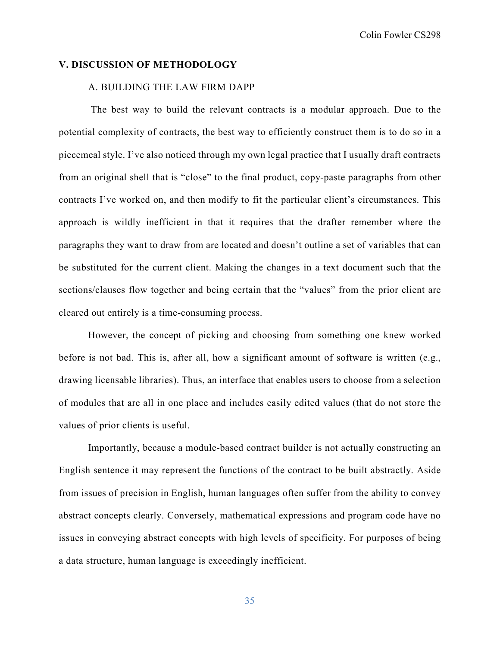## **V. DISCUSSION OF METHODOLOGY**

## A. BUILDING THE LAW FIRM DAPP

The best way to build the relevant contracts is a modular approach. Due to the potential complexity of contracts, the best way to efficiently construct them is to do so in a piecemeal style. I've also noticed through my own legal practice that I usually draft contracts from an original shell that is "close" to the final product, copy-paste paragraphs from other contracts I've worked on, and then modify to fit the particular client's circumstances. This approach is wildly inefficient in that it requires that the drafter remember where the paragraphs they want to draw from are located and doesn't outline a set of variables that can be substituted for the current client. Making the changes in a text document such that the sections/clauses flow together and being certain that the "values" from the prior client are cleared out entirely is a time-consuming process.

However, the concept of picking and choosing from something one knew worked before is not bad. This is, after all, how a significant amount of software is written (e.g., drawing licensable libraries). Thus, an interface that enables users to choose from a selection of modules that are all in one place and includes easily edited values (that do not store the values of prior clients is useful.

Importantly, because a module-based contract builder is not actually constructing an English sentence it may represent the functions of the contract to be built abstractly. Aside from issues of precision in English, human languages often suffer from the ability to convey abstract concepts clearly. Conversely, mathematical expressions and program code have no issues in conveying abstract concepts with high levels of specificity. For purposes of being a data structure, human language is exceedingly inefficient.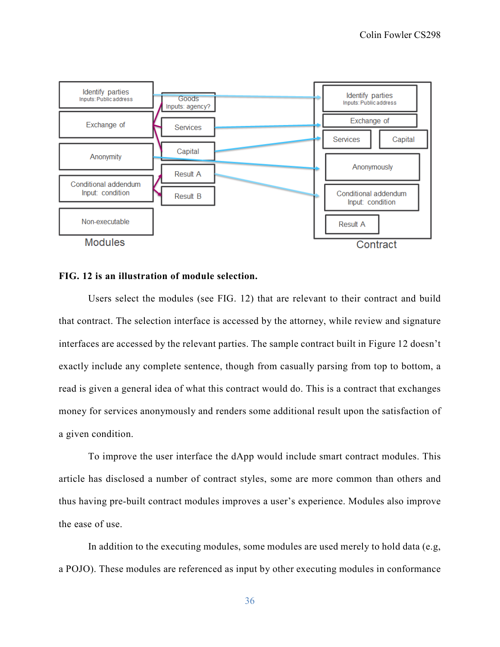

## **FIG. 12 is an illustration of module selection.**

Users select the modules (see FIG. 12) that are relevant to their contract and build that contract. The selection interface is accessed by the attorney, while review and signature interfaces are accessed by the relevant parties. The sample contract built in Figure 12 doesn't exactly include any complete sentence, though from casually parsing from top to bottom, a read is given a general idea of what this contract would do. This is a contract that exchanges money for services anonymously and renders some additional result upon the satisfaction of a given condition.

To improve the user interface the dApp would include smart contract modules. This article has disclosed a number of contract styles, some are more common than others and thus having pre-built contract modules improves a user's experience. Modules also improve the ease of use.

In addition to the executing modules, some modules are used merely to hold data (e.g, a POJO). These modules are referenced as input by other executing modules in conformance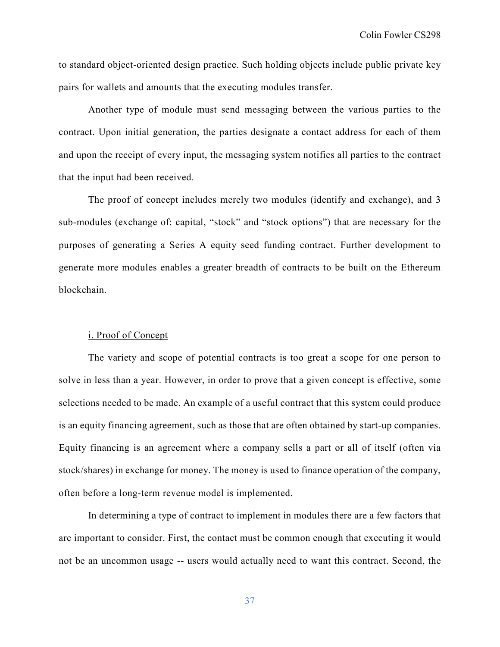to standard object-oriented design practice. Such holding objects include public private key pairs for wallets and amounts that the executing modules transfer.

Another type of module must send messaging between the various parties to the contract. Upon initial generation, the parties designate a contact address for each of them and upon the receipt of every input, the messaging system notifies all parties to the contract that the input had been received.

The proof of concept includes merely two modules (identify and exchange), and 3 sub-modules (exchange of: capital, "stock" and "stock options") that are necessary for the purposes of generating a Series A equity seed funding contract. Further development to generate more modules enables a greater breadth of contracts to be built on the Ethereum blockchain.

## i. Proof of Concept

The variety and scope of potential contracts is too great a scope for one person to solve in less than a year. However, in order to prove that a given concept is effective, some selections needed to be made. An example of a useful contract that this system could produce is an equity financing agreement, such as those that are often obtained by start-up companies. Equity financing is an agreement where a company sells a part or all of itself (often via stock/shares) in exchange for money. The money is used to finance operation of the company, often before a long-term revenue model is implemented.

In determining a type of contract to implement in modules there are a few factors that are important to consider. First, the contact must be common enough that executing it would not be an uncommon usage -- users would actually need to want this contract. Second, the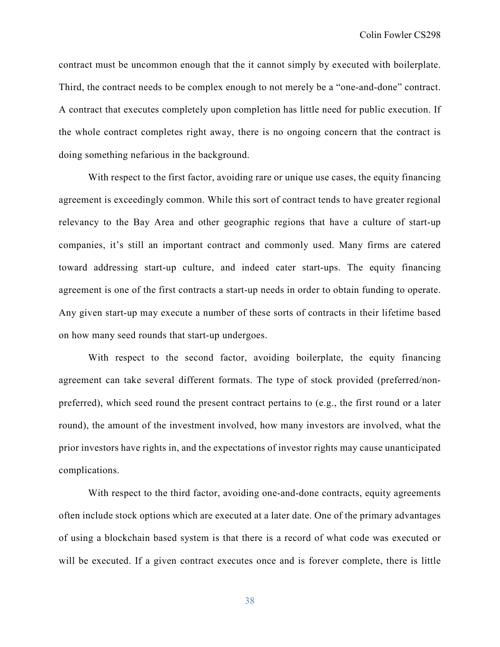contract must be uncommon enough that the it cannot simply by executed with boilerplate. Third, the contract needs to be complex enough to not merely be a "one-and-done" contract. A contract that executes completely upon completion has little need for public execution. If the whole contract completes right away, there is no ongoing concern that the contract is doing something nefarious in the background.

With respect to the first factor, avoiding rare or unique use cases, the equity financing agreement is exceedingly common. While this sort of contract tends to have greater regional relevancy to the Bay Area and other geographic regions that have a culture of start-up companies, it's still an important contract and commonly used. Many firms are catered toward addressing start-up culture, and indeed cater start-ups. The equity financing agreement is one of the first contracts a start-up needs in order to obtain funding to operate. Any given start-up may execute a number of these sorts of contracts in their lifetime based on how many seed rounds that start-up undergoes.

With respect to the second factor, avoiding boilerplate, the equity financing agreement can take several different formats. The type of stock provided (preferred/nonpreferred), which seed round the present contract pertains to (e.g., the first round or a later round), the amount of the investment involved, how many investors are involved, what the prior investors have rights in, and the expectations of investor rights may cause unanticipated complications.

With respect to the third factor, avoiding one-and-done contracts, equity agreements often include stock options which are executed at a later date. One of the primary advantages of using a blockchain based system is that there is a record of what code was executed or will be executed. If a given contract executes once and is forever complete, there is little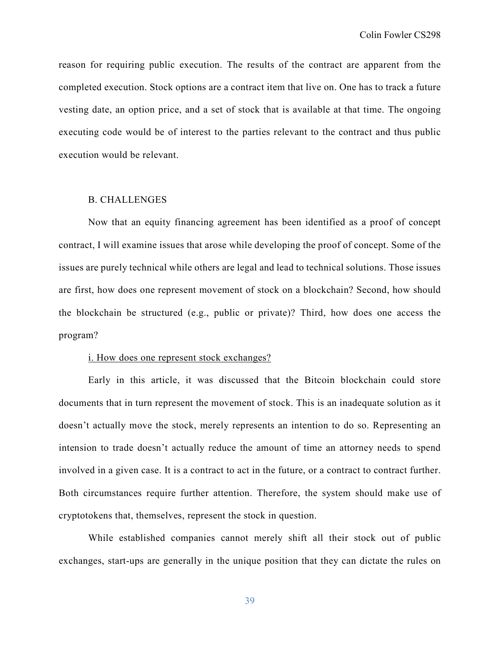reason for requiring public execution. The results of the contract are apparent from the completed execution. Stock options are a contract item that live on. One has to track a future vesting date, an option price, and a set of stock that is available at that time. The ongoing executing code would be of interest to the parties relevant to the contract and thus public execution would be relevant.

## B. CHALLENGES

Now that an equity financing agreement has been identified as a proof of concept contract, I will examine issues that arose while developing the proof of concept. Some of the issues are purely technical while others are legal and lead to technical solutions. Those issues are first, how does one represent movement of stock on a blockchain? Second, how should the blockchain be structured (e.g., public or private)? Third, how does one access the program?

#### i. How does one represent stock exchanges?

Early in this article, it was discussed that the Bitcoin blockchain could store documents that in turn represent the movement of stock. This is an inadequate solution as it doesn't actually move the stock, merely represents an intention to do so. Representing an intension to trade doesn't actually reduce the amount of time an attorney needs to spend involved in a given case. It is a contract to act in the future, or a contract to contract further. Both circumstances require further attention. Therefore, the system should make use of cryptotokens that, themselves, represent the stock in question.

While established companies cannot merely shift all their stock out of public exchanges, start-ups are generally in the unique position that they can dictate the rules on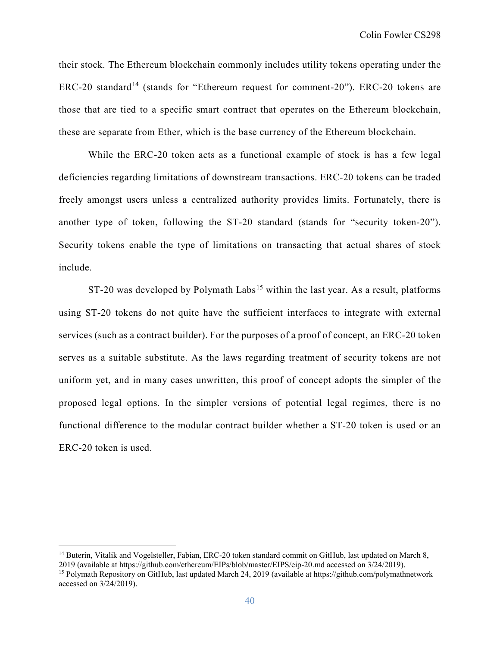their stock. The Ethereum blockchain commonly includes utility tokens operating under the  $ERC-20$  standard<sup>[14](#page-40-0)</sup> (stands for "Ethereum request for comment-20"). ERC-20 tokens are those that are tied to a specific smart contract that operates on the Ethereum blockchain, these are separate from Ether, which is the base currency of the Ethereum blockchain.

While the ERC-20 token acts as a functional example of stock is has a few legal deficiencies regarding limitations of downstream transactions. ERC-20 tokens can be traded freely amongst users unless a centralized authority provides limits. Fortunately, there is another type of token, following the ST-20 standard (stands for "security token-20"). Security tokens enable the type of limitations on transacting that actual shares of stock include.

 $ST-20$  was developed by Polymath Labs<sup>[15](#page-40-1)</sup> within the last year. As a result, platforms using ST-20 tokens do not quite have the sufficient interfaces to integrate with external services (such as a contract builder). For the purposes of a proof of concept, an ERC-20 token serves as a suitable substitute. As the laws regarding treatment of security tokens are not uniform yet, and in many cases unwritten, this proof of concept adopts the simpler of the proposed legal options. In the simpler versions of potential legal regimes, there is no functional difference to the modular contract builder whether a ST-20 token is used or an ERC-20 token is used.

<span id="page-40-0"></span><sup>&</sup>lt;sup>14</sup> Buterin, Vitalik and Vogelsteller, Fabian, ERC-20 token standard commit on GitHub, last updated on March 8, 2019 (available at https://github.com/ethereum/EIPs/blob/master/EIPS/eip-20.md accessed on 3/24/2019). <sup>15</sup> Polymath Repository on GitHub, last updated March 24, 2019 (available at https://github.com/polymathnetwork

<span id="page-40-1"></span>accessed on 3/24/2019).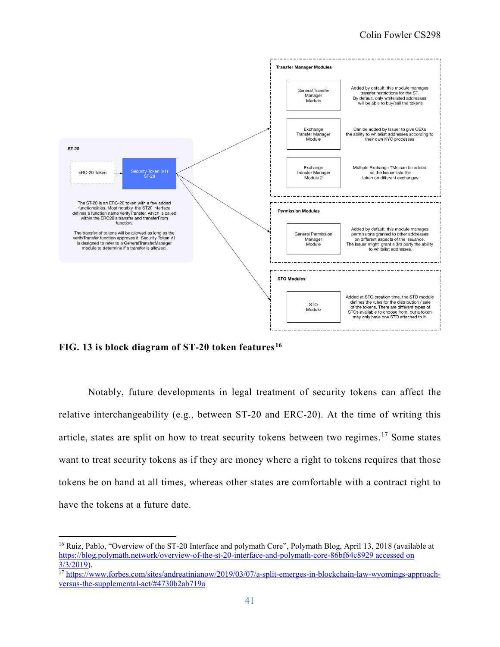

**FIG. 13 is block diagram of ST-20 token features[16](#page-41-0)**

Notably, future developments in legal treatment of security tokens can affect the relative interchangeability (e.g., between ST-20 and ERC-20). At the time of writing this article, states are split on how to treat security tokens between two regimes.<sup>[17](#page-41-1)</sup> Some states want to treat security tokens as if they are money where a right to tokens requires that those tokens be on hand at all times, whereas other states are comfortable with a contract right to have the tokens at a future date.

<span id="page-41-0"></span><sup>&</sup>lt;sup>16</sup> Ruiz, Pablo, "Overview of the ST-20 Interface and polymath Core", Polymath Blog, April 13, 2018 (available at [https://blog.polymath.network/overview-of-the-st-20-interface-and-polymath-core-86bf64c8929 accessed on](https://blog.polymath.network/overview-of-the-st-20-interface-and-polymath-core-86bf64c8929%20accessed%20on%203/3/2019)  [3/3/2019\)](https://blog.polymath.network/overview-of-the-st-20-interface-and-polymath-core-86bf64c8929%20accessed%20on%203/3/2019).

<span id="page-41-1"></span><sup>&</sup>lt;sup>17</sup> [https://www.forbes.com/sites/andreatinianow/2019/03/07/a-split-emerges-in-blockchain-law-wyomings-approach](https://www.forbes.com/sites/andreatinianow/2019/03/07/a-split-emerges-in-blockchain-law-wyomings-approach-versus-the-supplemental-act/#4730b2ab719a)[versus-the-supplemental-act/#4730b2ab719a](https://www.forbes.com/sites/andreatinianow/2019/03/07/a-split-emerges-in-blockchain-law-wyomings-approach-versus-the-supplemental-act/#4730b2ab719a)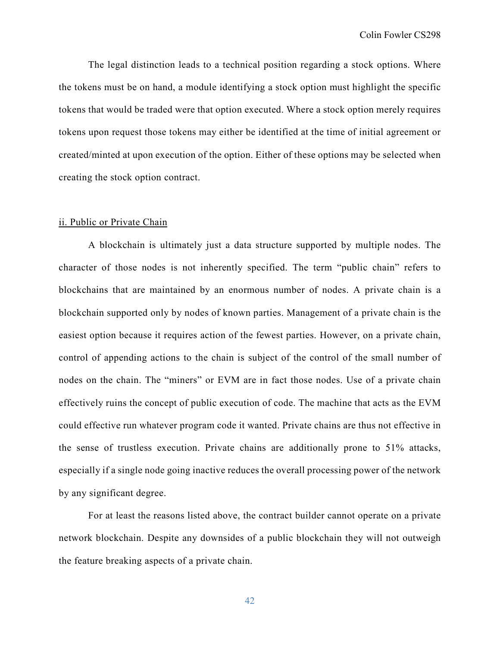The legal distinction leads to a technical position regarding a stock options. Where the tokens must be on hand, a module identifying a stock option must highlight the specific tokens that would be traded were that option executed. Where a stock option merely requires tokens upon request those tokens may either be identified at the time of initial agreement or created/minted at upon execution of the option. Either of these options may be selected when creating the stock option contract.

## ii. Public or Private Chain

A blockchain is ultimately just a data structure supported by multiple nodes. The character of those nodes is not inherently specified. The term "public chain" refers to blockchains that are maintained by an enormous number of nodes. A private chain is a blockchain supported only by nodes of known parties. Management of a private chain is the easiest option because it requires action of the fewest parties. However, on a private chain, control of appending actions to the chain is subject of the control of the small number of nodes on the chain. The "miners" or EVM are in fact those nodes. Use of a private chain effectively ruins the concept of public execution of code. The machine that acts as the EVM could effective run whatever program code it wanted. Private chains are thus not effective in the sense of trustless execution. Private chains are additionally prone to 51% attacks, especially if a single node going inactive reduces the overall processing power of the network by any significant degree.

For at least the reasons listed above, the contract builder cannot operate on a private network blockchain. Despite any downsides of a public blockchain they will not outweigh the feature breaking aspects of a private chain.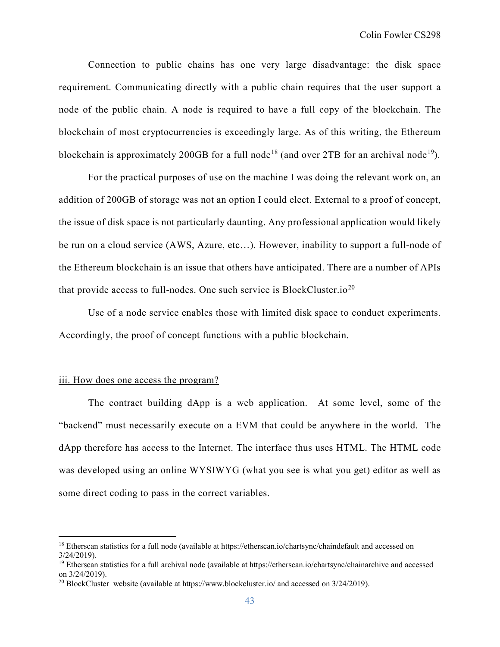Connection to public chains has one very large disadvantage: the disk space requirement. Communicating directly with a public chain requires that the user support a node of the public chain. A node is required to have a full copy of the blockchain. The blockchain of most cryptocurrencies is exceedingly large. As of this writing, the Ethereum blockchain is approximately 200GB for a full node<sup>[18](#page-43-0)</sup> (and over 2TB for an archival node<sup>19</sup>).

For the practical purposes of use on the machine I was doing the relevant work on, an addition of 200GB of storage was not an option I could elect. External to a proof of concept, the issue of disk space is not particularly daunting. Any professional application would likely be run on a cloud service (AWS, Azure, etc…). However, inability to support a full-node of the Ethereum blockchain is an issue that others have anticipated. There are a number of APIs that provide access to full-nodes. One such service is BlockCluster.io<sup>[20](#page-43-2)</sup>

Use of a node service enables those with limited disk space to conduct experiments. Accordingly, the proof of concept functions with a public blockchain.

## iii. How does one access the program?

 The contract building dApp is a web application. At some level, some of the "backend" must necessarily execute on a EVM that could be anywhere in the world. The dApp therefore has access to the Internet. The interface thus uses HTML. The HTML code was developed using an online WYSIWYG (what you see is what you get) editor as well as some direct coding to pass in the correct variables.

<span id="page-43-0"></span><sup>&</sup>lt;sup>18</sup> Etherscan statistics for a full node (available at https://etherscan.io/chartsync/chaindefault and accessed on 3/24/2019).

<span id="page-43-1"></span> $19$  Etherscan statistics for a full archival node (available at https://etherscan.jo/chartsync/chainarchive and accessed on 3/24/2019).

<span id="page-43-2"></span><sup>&</sup>lt;sup>20</sup> BlockCluster website (available at https://www.blockcluster.io/ and accessed on  $3/24/2019$ ).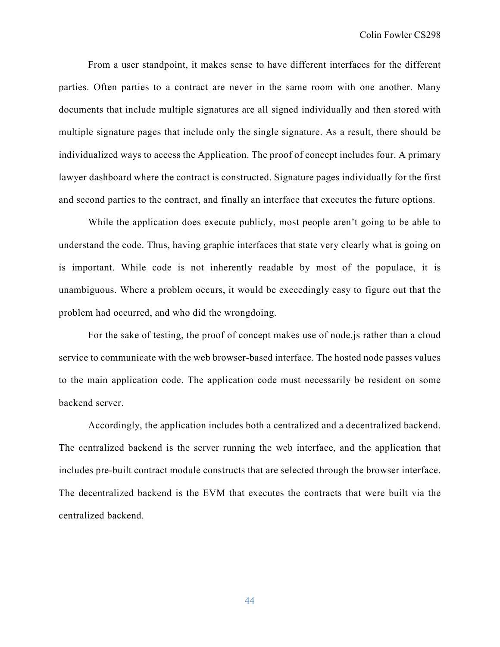From a user standpoint, it makes sense to have different interfaces for the different parties. Often parties to a contract are never in the same room with one another. Many documents that include multiple signatures are all signed individually and then stored with multiple signature pages that include only the single signature. As a result, there should be individualized ways to access the Application. The proof of concept includes four. A primary lawyer dashboard where the contract is constructed. Signature pages individually for the first and second parties to the contract, and finally an interface that executes the future options.

While the application does execute publicly, most people aren't going to be able to understand the code. Thus, having graphic interfaces that state very clearly what is going on is important. While code is not inherently readable by most of the populace, it is unambiguous. Where a problem occurs, it would be exceedingly easy to figure out that the problem had occurred, and who did the wrongdoing.

For the sake of testing, the proof of concept makes use of node.js rather than a cloud service to communicate with the web browser-based interface. The hosted node passes values to the main application code. The application code must necessarily be resident on some backend server.

Accordingly, the application includes both a centralized and a decentralized backend. The centralized backend is the server running the web interface, and the application that includes pre-built contract module constructs that are selected through the browser interface. The decentralized backend is the EVM that executes the contracts that were built via the centralized backend.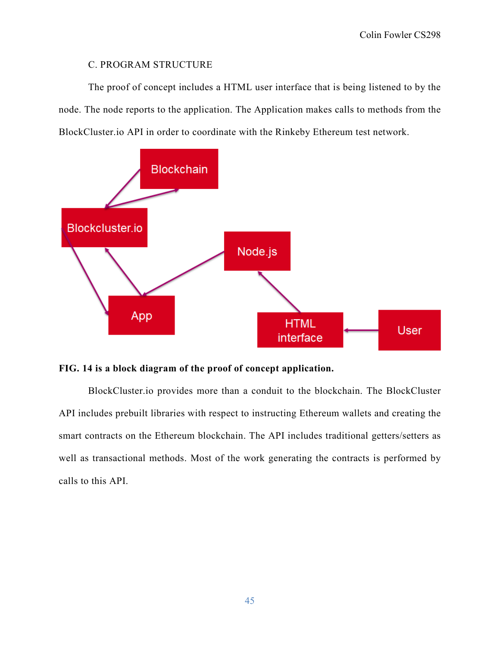## C. PROGRAM STRUCTURE

The proof of concept includes a HTML user interface that is being listened to by the node. The node reports to the application. The Application makes calls to methods from the BlockCluster.io API in order to coordinate with the Rinkeby Ethereum test network.



## **FIG. 14 is a block diagram of the proof of concept application.**

BlockCluster.io provides more than a conduit to the blockchain. The BlockCluster API includes prebuilt libraries with respect to instructing Ethereum wallets and creating the smart contracts on the Ethereum blockchain. The API includes traditional getters/setters as well as transactional methods. Most of the work generating the contracts is performed by calls to this API.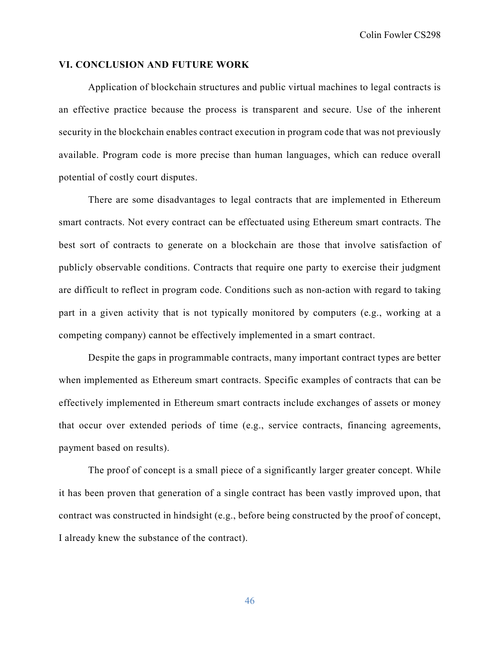## **VI. CONCLUSION AND FUTURE WORK**

Application of blockchain structures and public virtual machines to legal contracts is an effective practice because the process is transparent and secure. Use of the inherent security in the blockchain enables contract execution in program code that was not previously available. Program code is more precise than human languages, which can reduce overall potential of costly court disputes.

There are some disadvantages to legal contracts that are implemented in Ethereum smart contracts. Not every contract can be effectuated using Ethereum smart contracts. The best sort of contracts to generate on a blockchain are those that involve satisfaction of publicly observable conditions. Contracts that require one party to exercise their judgment are difficult to reflect in program code. Conditions such as non-action with regard to taking part in a given activity that is not typically monitored by computers (e.g., working at a competing company) cannot be effectively implemented in a smart contract.

Despite the gaps in programmable contracts, many important contract types are better when implemented as Ethereum smart contracts. Specific examples of contracts that can be effectively implemented in Ethereum smart contracts include exchanges of assets or money that occur over extended periods of time (e.g., service contracts, financing agreements, payment based on results).

The proof of concept is a small piece of a significantly larger greater concept. While it has been proven that generation of a single contract has been vastly improved upon, that contract was constructed in hindsight (e.g., before being constructed by the proof of concept, I already knew the substance of the contract).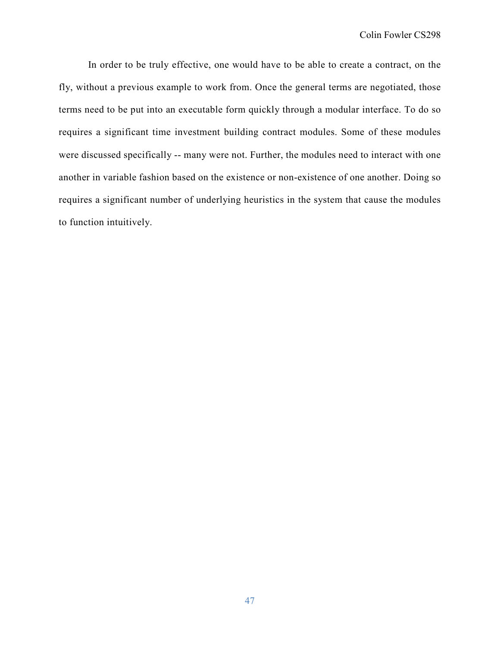In order to be truly effective, one would have to be able to create a contract, on the fly, without a previous example to work from. Once the general terms are negotiated, those terms need to be put into an executable form quickly through a modular interface. To do so requires a significant time investment building contract modules. Some of these modules were discussed specifically -- many were not. Further, the modules need to interact with one another in variable fashion based on the existence or non-existence of one another. Doing so requires a significant number of underlying heuristics in the system that cause the modules to function intuitively.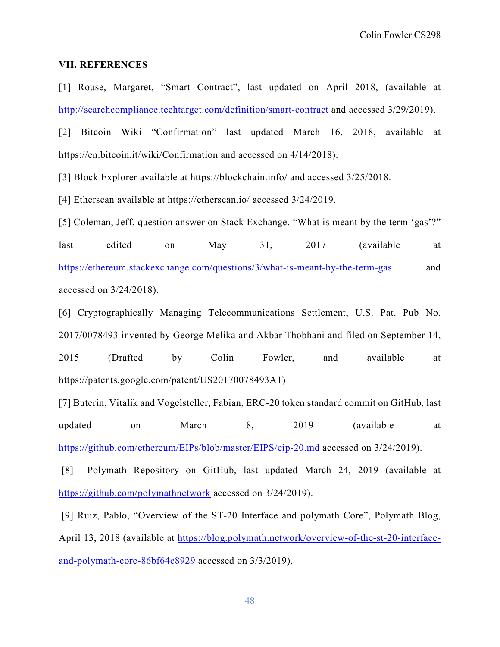## **VII. REFERENCES**

[1] Rouse, Margaret, "Smart Contract", last updated on April 2018, (available at <http://searchcompliance.techtarget.com/definition/smart-contract> and accessed 3/29/2019).

[2] Bitcoin Wiki "Confirmation" last updated March 16, 2018, available at https://en.bitcoin.it/wiki/Confirmation and accessed on 4/14/2018).

[3] Block Explorer available at https://blockchain.info/ and accessed 3/25/2018.

[4] Etherscan available at https://etherscan.io/ accessed 3/24/2019.

[5] Coleman, Jeff, question answer on Stack Exchange, "What is meant by the term 'gas'?" last edited on May 31, 2017 (available at <https://ethereum.stackexchange.com/questions/3/what-is-meant-by-the-term-gas> and accessed on 3/24/2018).

[6] Cryptographically Managing Telecommunications Settlement, U.S. Pat. Pub No. 2017/0078493 invented by George Melika and Akbar Thobhani and filed on September 14, 2015 (Drafted by Colin Fowler, and available at https://patents.google.com/patent/US20170078493A1)

[7] Buterin, Vitalik and Vogelsteller, Fabian, ERC-20 token standard commit on GitHub, last updated on March 8, 2019 (available at <https://github.com/ethereum/EIPs/blob/master/EIPS/eip-20.md> accessed on 3/24/2019).

[8] Polymath Repository on GitHub, last updated March 24, 2019 (available at <https://github.com/polymathnetwork> accessed on 3/24/2019).

[9] Ruiz, Pablo, "Overview of the ST-20 Interface and polymath Core", Polymath Blog, April 13, 2018 (available at [https://blog.polymath.network/overview-of-the-st-20-interface](https://blog.polymath.network/overview-of-the-st-20-interface-and-polymath-core-86bf64c8929)[and-polymath-core-86bf64c8929](https://blog.polymath.network/overview-of-the-st-20-interface-and-polymath-core-86bf64c8929) accessed on 3/3/2019).